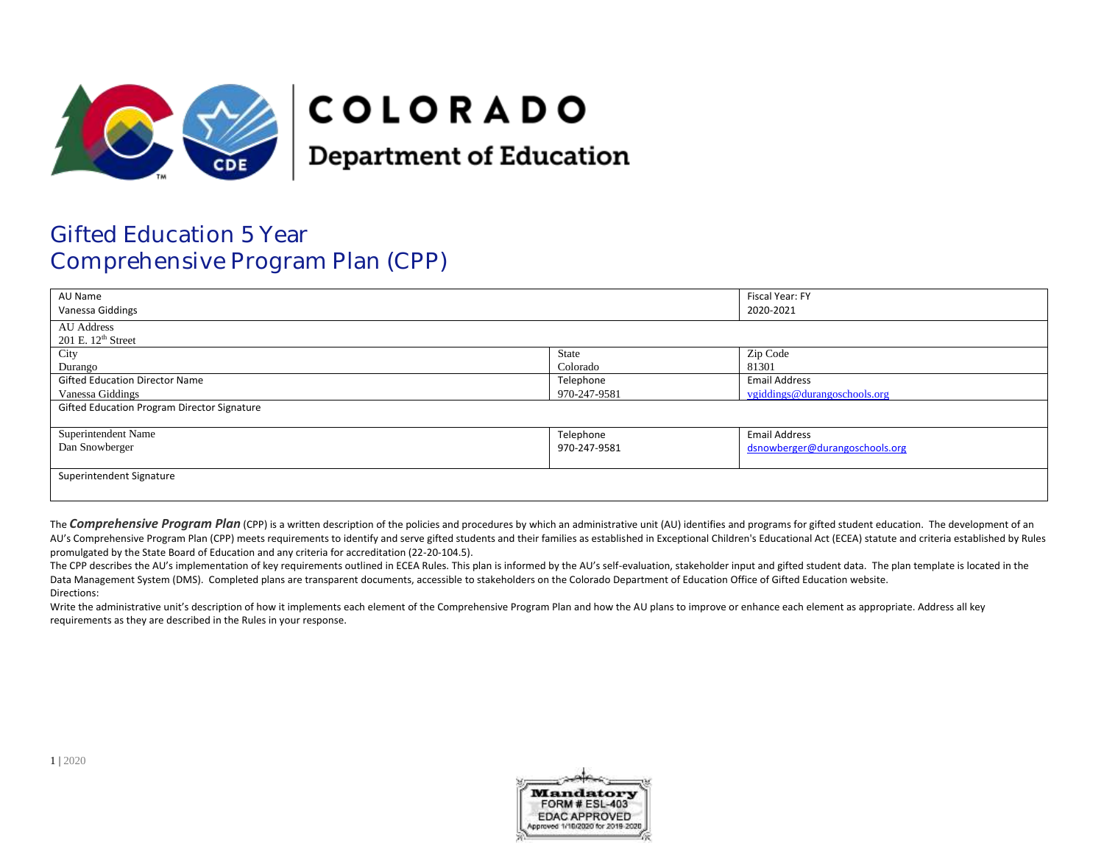

# **COLORADO**

**Department of Education** 

## Gifted Education 5 Year Comprehensive Program Plan (CPP)

| AU Name<br>Vanessa Giddings                        |              | Fiscal Year: FY<br>2020-2021   |
|----------------------------------------------------|--------------|--------------------------------|
| AU Address<br>$201$ E. $12th$ Street               |              |                                |
| City                                               | State        | Zip Code                       |
| Durango                                            | Colorado     | 81301                          |
| <b>Gifted Education Director Name</b>              | Telephone    | <b>Email Address</b>           |
| Vanessa Giddings                                   | 970-247-9581 | vgiddings@durangoschools.org   |
| <b>Gifted Education Program Director Signature</b> |              |                                |
| Superintendent Name                                | Telephone    | <b>Email Address</b>           |
| Dan Snowberger                                     | 970-247-9581 | dsnowberger@durangoschools.org |
| Superintendent Signature                           |              |                                |

The **Comprehensive Program Plan** (CPP) is a written description of the policies and procedures by which an administrative unit (AU) identifies and programs for gifted student education. The development of an AU's Comprehensive Program Plan (CPP) meets requirements to identify and serve gifted students and their families as established in Exceptional Children's Educational Act (ECEA) statute and criteria established by Rules promulgated by the State Board of Education and any criteria for accreditation (22-20-104.5).

The CPP describes the AU's implementation of key requirements outlined in ECEA Rules. This plan is informed by the AU's self-evaluation, stakeholder input and gifted student data. The plan template is located in the Data Management System (DMS). Completed plans are transparent documents, accessible to stakeholders on the Colorado Department of Education Office of Gifted Education website. Directions:

Write the administrative unit's description of how it implements each element of the Comprehensive Program Plan and how the AU plans to improve or enhance each element as appropriate. Address all key requirements as they are described in the Rules in your response.

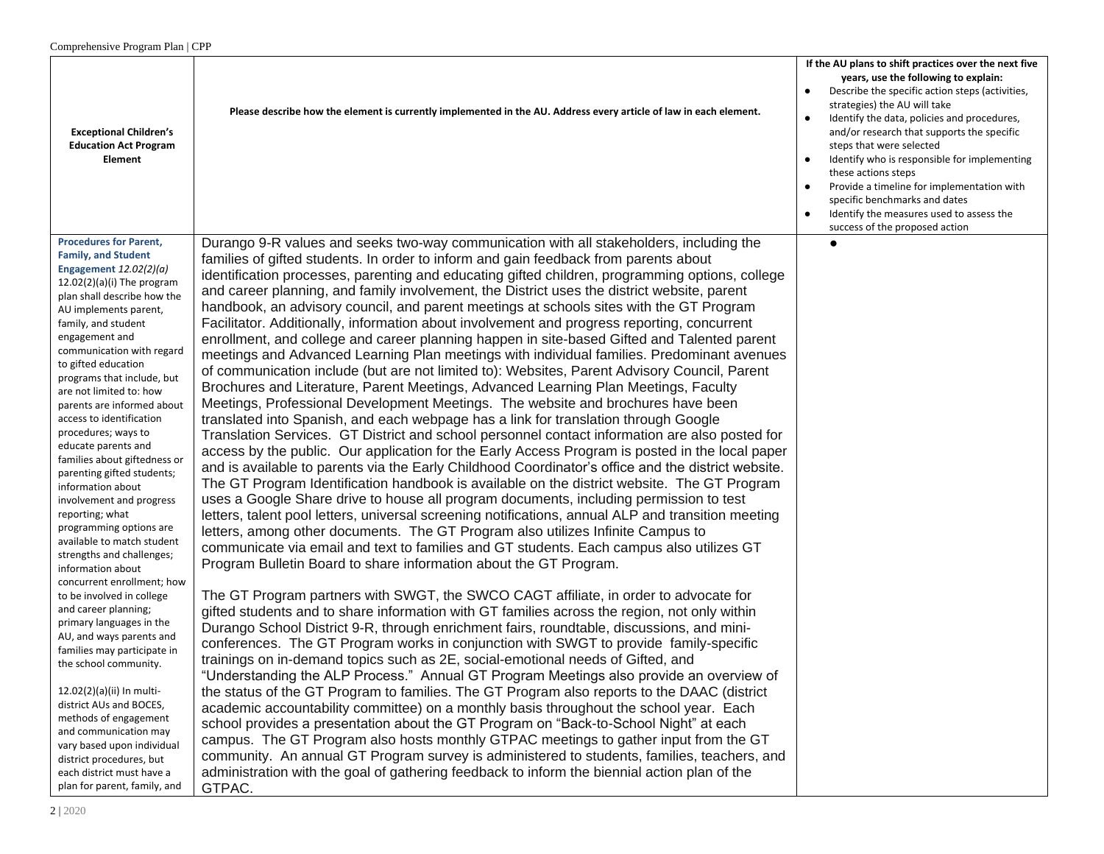|                                                                                                                                                                                                                                                                                                                                                                                                                                                                                                                                                                                                                                                                                                                                                                                                                                                                                                                                                                                                                                                                                                                                | Please describe how the element is currently implemented in the AU. Address every article of law in each element.                                                                                                                                                                                                                                                                                                                                                                                                                                                                                                                                                                                                                                                                                                                                                                                                                                                                                                                                                                                                                                                                                                                                                                                                                                                                                                                                                                                                                                                                                                                                                                                                                                                                                                                                                                                                                                                                                                                                                                                                                                                                                                                                                                                                                                                                                                                                                                                                                                                                                                                                                                                                                                                                                                                                                                                                                                                                                                                                                                                                                                       | If the AU plans to shift practices over the next five<br>years, use the following to explain:<br>Describe the specific action steps (activities,<br>$\bullet$<br>strategies) the AU will take<br>Identify the data, policies and procedures,<br>$\bullet$                                                               |
|--------------------------------------------------------------------------------------------------------------------------------------------------------------------------------------------------------------------------------------------------------------------------------------------------------------------------------------------------------------------------------------------------------------------------------------------------------------------------------------------------------------------------------------------------------------------------------------------------------------------------------------------------------------------------------------------------------------------------------------------------------------------------------------------------------------------------------------------------------------------------------------------------------------------------------------------------------------------------------------------------------------------------------------------------------------------------------------------------------------------------------|---------------------------------------------------------------------------------------------------------------------------------------------------------------------------------------------------------------------------------------------------------------------------------------------------------------------------------------------------------------------------------------------------------------------------------------------------------------------------------------------------------------------------------------------------------------------------------------------------------------------------------------------------------------------------------------------------------------------------------------------------------------------------------------------------------------------------------------------------------------------------------------------------------------------------------------------------------------------------------------------------------------------------------------------------------------------------------------------------------------------------------------------------------------------------------------------------------------------------------------------------------------------------------------------------------------------------------------------------------------------------------------------------------------------------------------------------------------------------------------------------------------------------------------------------------------------------------------------------------------------------------------------------------------------------------------------------------------------------------------------------------------------------------------------------------------------------------------------------------------------------------------------------------------------------------------------------------------------------------------------------------------------------------------------------------------------------------------------------------------------------------------------------------------------------------------------------------------------------------------------------------------------------------------------------------------------------------------------------------------------------------------------------------------------------------------------------------------------------------------------------------------------------------------------------------------------------------------------------------------------------------------------------------------------------------------------------------------------------------------------------------------------------------------------------------------------------------------------------------------------------------------------------------------------------------------------------------------------------------------------------------------------------------------------------------------------------------------------------------------------------------------------------------|-------------------------------------------------------------------------------------------------------------------------------------------------------------------------------------------------------------------------------------------------------------------------------------------------------------------------|
| <b>Exceptional Children's</b><br><b>Education Act Program</b><br><b>Element</b>                                                                                                                                                                                                                                                                                                                                                                                                                                                                                                                                                                                                                                                                                                                                                                                                                                                                                                                                                                                                                                                |                                                                                                                                                                                                                                                                                                                                                                                                                                                                                                                                                                                                                                                                                                                                                                                                                                                                                                                                                                                                                                                                                                                                                                                                                                                                                                                                                                                                                                                                                                                                                                                                                                                                                                                                                                                                                                                                                                                                                                                                                                                                                                                                                                                                                                                                                                                                                                                                                                                                                                                                                                                                                                                                                                                                                                                                                                                                                                                                                                                                                                                                                                                                                         | and/or research that supports the specific<br>steps that were selected<br>Identify who is responsible for implementing<br>these actions steps<br>Provide a timeline for implementation with<br>specific benchmarks and dates<br>Identify the measures used to assess the<br>$\bullet$<br>success of the proposed action |
| <b>Procedures for Parent.</b><br><b>Family, and Student</b><br>Engagement $12.02(2)(a)$<br>$12.02(2)(a)(i)$ The program<br>plan shall describe how the<br>AU implements parent,<br>family, and student<br>engagement and<br>communication with regard<br>to gifted education<br>programs that include, but<br>are not limited to: how<br>parents are informed about<br>access to identification<br>procedures; ways to<br>educate parents and<br>families about giftedness or<br>parenting gifted students;<br>information about<br>involvement and progress<br>reporting; what<br>programming options are<br>available to match student<br>strengths and challenges;<br>information about<br>concurrent enrollment; how<br>to be involved in college<br>and career planning;<br>primary languages in the<br>AU, and ways parents and<br>families may participate in<br>the school community.<br>12.02(2)(a)(ii) In multi-<br>district AUs and BOCES,<br>methods of engagement<br>and communication may<br>vary based upon individual<br>district procedures, but<br>each district must have a<br>plan for parent, family, and | Durango 9-R values and seeks two-way communication with all stakeholders, including the<br>families of gifted students. In order to inform and gain feedback from parents about<br>identification processes, parenting and educating gifted children, programming options, college<br>and career planning, and family involvement, the District uses the district website, parent<br>handbook, an advisory council, and parent meetings at schools sites with the GT Program<br>Facilitator. Additionally, information about involvement and progress reporting, concurrent<br>enrollment, and college and career planning happen in site-based Gifted and Talented parent<br>meetings and Advanced Learning Plan meetings with individual families. Predominant avenues<br>of communication include (but are not limited to): Websites, Parent Advisory Council, Parent<br>Brochures and Literature, Parent Meetings, Advanced Learning Plan Meetings, Faculty<br>Meetings, Professional Development Meetings. The website and brochures have been<br>translated into Spanish, and each webpage has a link for translation through Google<br>Translation Services. GT District and school personnel contact information are also posted for<br>access by the public. Our application for the Early Access Program is posted in the local paper<br>and is available to parents via the Early Childhood Coordinator's office and the district website.<br>The GT Program Identification handbook is available on the district website. The GT Program<br>uses a Google Share drive to house all program documents, including permission to test<br>letters, talent pool letters, universal screening notifications, annual ALP and transition meeting<br>letters, among other documents. The GT Program also utilizes Infinite Campus to<br>communicate via email and text to families and GT students. Each campus also utilizes GT<br>Program Bulletin Board to share information about the GT Program.<br>The GT Program partners with SWGT, the SWCO CAGT affiliate, in order to advocate for<br>gifted students and to share information with GT families across the region, not only within<br>Durango School District 9-R, through enrichment fairs, roundtable, discussions, and mini-<br>conferences. The GT Program works in conjunction with SWGT to provide family-specific<br>trainings on in-demand topics such as 2E, social-emotional needs of Gifted, and<br>"Understanding the ALP Process." Annual GT Program Meetings also provide an overview of<br>the status of the GT Program to families. The GT Program also reports to the DAAC (district<br>academic accountability committee) on a monthly basis throughout the school year. Each<br>school provides a presentation about the GT Program on "Back-to-School Night" at each<br>campus. The GT Program also hosts monthly GTPAC meetings to gather input from the GT<br>community. An annual GT Program survey is administered to students, families, teachers, and<br>administration with the goal of gathering feedback to inform the biennial action plan of the<br>GTPAC. |                                                                                                                                                                                                                                                                                                                         |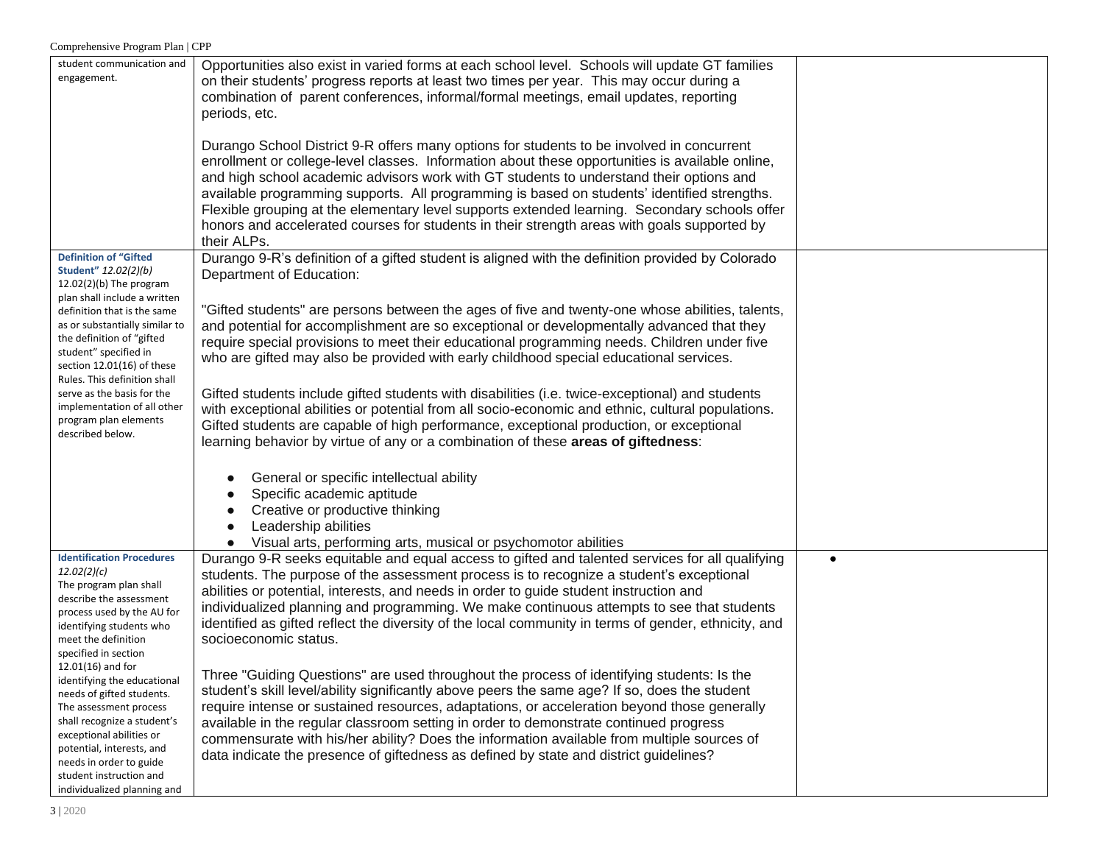| student communication and        | Opportunities also exist in varied forms at each school level. Schools will update GT families       |           |
|----------------------------------|------------------------------------------------------------------------------------------------------|-----------|
| engagement.                      |                                                                                                      |           |
|                                  | on their students' progress reports at least two times per year. This may occur during a             |           |
|                                  | combination of parent conferences, informal/formal meetings, email updates, reporting                |           |
|                                  | periods, etc.                                                                                        |           |
|                                  |                                                                                                      |           |
|                                  |                                                                                                      |           |
|                                  | Durango School District 9-R offers many options for students to be involved in concurrent            |           |
|                                  | enrollment or college-level classes. Information about these opportunities is available online,      |           |
|                                  | and high school academic advisors work with GT students to understand their options and              |           |
|                                  | available programming supports. All programming is based on students' identified strengths.          |           |
|                                  | Flexible grouping at the elementary level supports extended learning. Secondary schools offer        |           |
|                                  |                                                                                                      |           |
|                                  | honors and accelerated courses for students in their strength areas with goals supported by          |           |
|                                  | their ALPs.                                                                                          |           |
| <b>Definition of "Gifted</b>     | Durango 9-R's definition of a gifted student is aligned with the definition provided by Colorado     |           |
| Student" 12.02(2)(b)             | Department of Education:                                                                             |           |
| $12.02(2)(b)$ The program        |                                                                                                      |           |
| plan shall include a written     |                                                                                                      |           |
| definition that is the same      | "Gifted students" are persons between the ages of five and twenty-one whose abilities, talents,      |           |
| as or substantially similar to   | and potential for accomplishment are so exceptional or developmentally advanced that they            |           |
| the definition of "gifted        |                                                                                                      |           |
| student" specified in            | require special provisions to meet their educational programming needs. Children under five          |           |
| section 12.01(16) of these       | who are gifted may also be provided with early childhood special educational services.               |           |
| Rules. This definition shall     |                                                                                                      |           |
| serve as the basis for the       | Gifted students include gifted students with disabilities (i.e. twice-exceptional) and students      |           |
| implementation of all other      |                                                                                                      |           |
| program plan elements            | with exceptional abilities or potential from all socio-economic and ethnic, cultural populations.    |           |
| described below.                 | Gifted students are capable of high performance, exceptional production, or exceptional              |           |
|                                  | learning behavior by virtue of any or a combination of these areas of giftedness:                    |           |
|                                  |                                                                                                      |           |
|                                  |                                                                                                      |           |
|                                  | General or specific intellectual ability                                                             |           |
|                                  | Specific academic aptitude                                                                           |           |
|                                  | Creative or productive thinking                                                                      |           |
|                                  | Leadership abilities                                                                                 |           |
|                                  |                                                                                                      |           |
|                                  | Visual arts, performing arts, musical or psychomotor abilities                                       |           |
| <b>Identification Procedures</b> | Durango 9-R seeks equitable and equal access to gifted and talented services for all qualifying      | $\bullet$ |
| 12.02(2)(c)                      | students. The purpose of the assessment process is to recognize a student's exceptional              |           |
| The program plan shall           | abilities or potential, interests, and needs in order to guide student instruction and               |           |
| describe the assessment          | individualized planning and programming. We make continuous attempts to see that students            |           |
| process used by the AU for       |                                                                                                      |           |
| identifying students who         | identified as gifted reflect the diversity of the local community in terms of gender, ethnicity, and |           |
| meet the definition              | socioeconomic status.                                                                                |           |
| specified in section             |                                                                                                      |           |
| $12.01(16)$ and for              | Three "Guiding Questions" are used throughout the process of identifying students: Is the            |           |
| identifying the educational      |                                                                                                      |           |
| needs of gifted students.        | student's skill level/ability significantly above peers the same age? If so, does the student        |           |
| The assessment process           | require intense or sustained resources, adaptations, or acceleration beyond those generally          |           |
| shall recognize a student's      | available in the regular classroom setting in order to demonstrate continued progress                |           |
| exceptional abilities or         | commensurate with his/her ability? Does the information available from multiple sources of           |           |
| potential, interests, and        | data indicate the presence of giftedness as defined by state and district guidelines?                |           |
| needs in order to guide          |                                                                                                      |           |
| student instruction and          |                                                                                                      |           |
| individualized planning and      |                                                                                                      |           |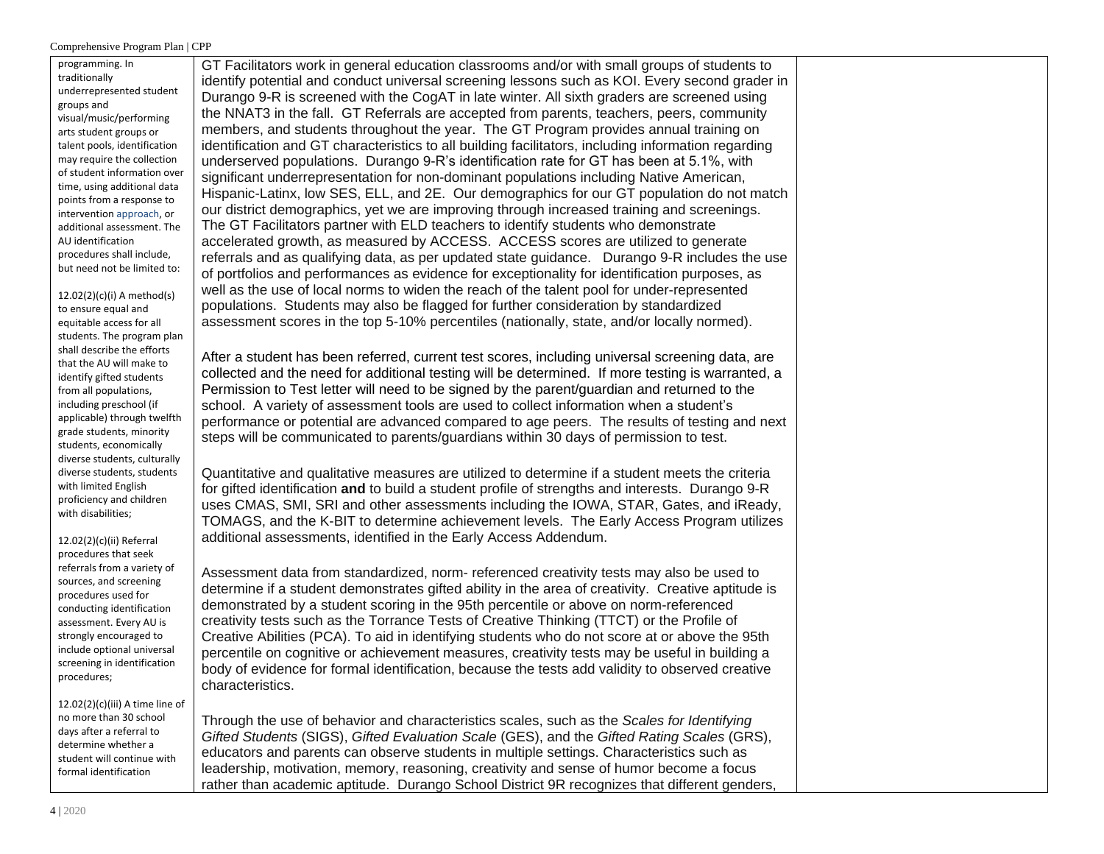programming. In traditionally underrepresented student groups and visual/music/performing arts student groups or talent pools, identification may require the collection of student information over time, using additional data points from a response to intervention approach, or additional assessment. The AU identification procedures shall include, but need not be limited to:

12.02(2)(c)(i) A method(s) to ensure equal and equitable access for all students. The program plan shall describe the efforts that the AU will make to identify gifted students from all populations, including preschool (if applicable) through twelfth grade students, minority students, economically diverse students, culturally diverse students, students with limited English proficiency and children with disabilities;

12.02(2)(c)(ii) Referral procedures that seek referrals from a variety of sources, and screening procedures used for conducting identification assessment. Every AU is strongly encouraged to include optional universal screening in identification procedures;

12.02(2)(c)(iii) A time line of no more than 30 school days after a referral to determine whether a student will continue with formal identification

GT Facilitators work in general education classrooms and/or with small groups of students to identify potential and conduct universal screening lessons such as KOI. Every second grader in Durango 9-R is screened with the CogAT in late winter. All sixth graders are screened using the NNAT3 in the fall. GT Referrals are accepted from parents, teachers, peers, community members, and students throughout the year. The GT Program provides annual training on identification and GT characteristics to all building facilitators, including information regarding underserved populations. Durango 9-R's identification rate for GT has been at 5.1%, with significant underrepresentation for non-dominant populations including Native American, Hispanic-Latinx, low SES, ELL, and 2E. Our demographics for our GT population do not match our district demographics, yet we are improving through increased training and screenings. The GT Facilitators partner with ELD teachers to identify students who demonstrate accelerated growth, as measured by ACCESS. ACCESS scores are utilized to generate referrals and as qualifying data, as per updated state guidance. Durango 9-R includes the use of portfolios and performances as evidence for exceptionality for identification purposes, as well as the use of local norms to widen the reach of the talent pool for under-represented populations. Students may also be flagged for further consideration by standardized assessment scores in the top 5-10% percentiles (nationally, state, and/or locally normed).

After a student has been referred, current test scores, including universal screening data, are collected and the need for additional testing will be determined. If more testing is warranted, a Permission to Test letter will need to be signed by the parent/guardian and returned to the school. A variety of assessment tools are used to collect information when a student's performance or potential are advanced compared to age peers. The results of testing and next steps will be communicated to parents/guardians within 30 days of permission to test.

Quantitative and qualitative measures are utilized to determine if a student meets the criteria for gifted identification **and** to build a student profile of strengths and interests. Durango 9-R uses CMAS, SMI, SRI and other assessments including the IOWA, STAR, Gates, and iReady, TOMAGS, and the K-BIT to determine achievement levels. The Early Access Program utilizes additional assessments, identified in the Early Access Addendum.

Assessment data from standardized, norm- referenced creativity tests may also be used to determine if a student demonstrates gifted ability in the area of creativity. Creative aptitude is demonstrated by a student scoring in the 95th percentile or above on norm-referenced creativity tests such as the Torrance Tests of Creative Thinking (TTCT) or the Profile of Creative Abilities (PCA). To aid in identifying students who do not score at or above the 95th percentile on cognitive or achievement measures, creativity tests may be useful in building a body of evidence for formal identification, because the tests add validity to observed creative characteristics.

Through the use of behavior and characteristics scales, such as the *Scales for Identifying Gifted Students* (SIGS), *Gifted Evaluation Scale* (GES), and the *Gifted Rating Scales* (GRS), educators and parents can observe students in multiple settings. Characteristics such as leadership, motivation, memory, reasoning, creativity and sense of humor become a focus rather than academic aptitude. Durango School District 9R recognizes that different genders,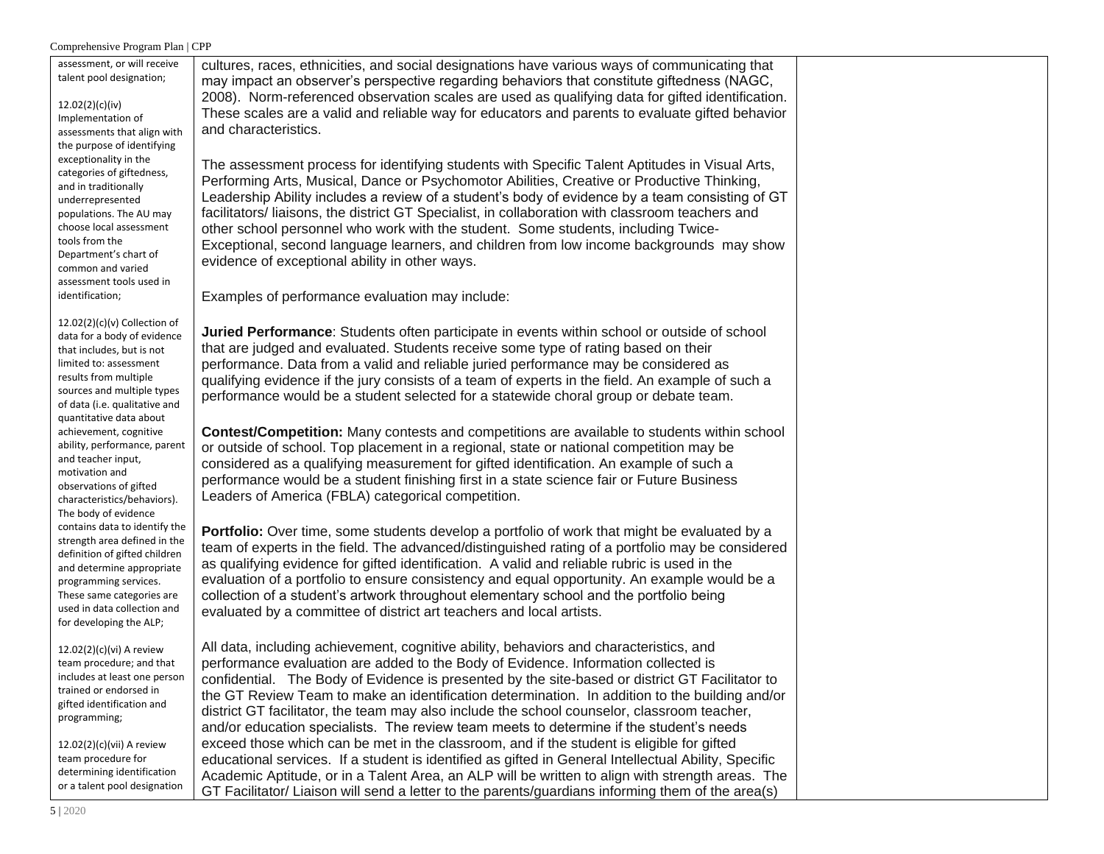| assessment, or will receive<br>talent pool designation;<br>12.02(2)(c)(iv)<br>Implementation of<br>assessments that align with<br>the purpose of identifying                                                                                                                                                                              | cultures, races, ethnicities, and social designations have various ways of communicating that<br>may impact an observer's perspective regarding behaviors that constitute giftedness (NAGC,<br>2008). Norm-referenced observation scales are used as qualifying data for gifted identification.<br>These scales are a valid and reliable way for educators and parents to evaluate gifted behavior<br>and characteristics.                                                                                                                                                                                                                                                                                                                                                                                                                                                                                                                                                                |  |
|-------------------------------------------------------------------------------------------------------------------------------------------------------------------------------------------------------------------------------------------------------------------------------------------------------------------------------------------|-------------------------------------------------------------------------------------------------------------------------------------------------------------------------------------------------------------------------------------------------------------------------------------------------------------------------------------------------------------------------------------------------------------------------------------------------------------------------------------------------------------------------------------------------------------------------------------------------------------------------------------------------------------------------------------------------------------------------------------------------------------------------------------------------------------------------------------------------------------------------------------------------------------------------------------------------------------------------------------------|--|
| exceptionality in the<br>categories of giftedness,<br>and in traditionally<br>underrepresented<br>populations. The AU may<br>choose local assessment<br>tools from the<br>Department's chart of<br>common and varied<br>assessment tools used in<br>identification;                                                                       | The assessment process for identifying students with Specific Talent Aptitudes in Visual Arts,<br>Performing Arts, Musical, Dance or Psychomotor Abilities, Creative or Productive Thinking,<br>Leadership Ability includes a review of a student's body of evidence by a team consisting of GT<br>facilitators/liaisons, the district GT Specialist, in collaboration with classroom teachers and<br>other school personnel who work with the student. Some students, including Twice-<br>Exceptional, second language learners, and children from low income backgrounds may show<br>evidence of exceptional ability in other ways.<br>Examples of performance evaluation may include:                                                                                                                                                                                                                                                                                                  |  |
| $12.02(2)(c)(v)$ Collection of<br>data for a body of evidence<br>that includes, but is not<br>limited to: assessment<br>results from multiple<br>sources and multiple types<br>of data (i.e. qualitative and<br>quantitative data about<br>achievement, cognitive<br>ability, performance, parent<br>and teacher input,<br>motivation and | <b>Juried Performance:</b> Students often participate in events within school or outside of school<br>that are judged and evaluated. Students receive some type of rating based on their<br>performance. Data from a valid and reliable juried performance may be considered as<br>qualifying evidence if the jury consists of a team of experts in the field. An example of such a<br>performance would be a student selected for a statewide choral group or debate team.<br>Contest/Competition: Many contests and competitions are available to students within school<br>or outside of school. Top placement in a regional, state or national competition may be<br>considered as a qualifying measurement for gifted identification. An example of such a                                                                                                                                                                                                                           |  |
| observations of gifted<br>characteristics/behaviors).<br>The body of evidence<br>contains data to identify the<br>strength area defined in the<br>definition of gifted children<br>and determine appropriate<br>programming services.<br>These same categories are<br>used in data collection and<br>for developing the ALP;              | performance would be a student finishing first in a state science fair or Future Business<br>Leaders of America (FBLA) categorical competition.<br><b>Portfolio:</b> Over time, some students develop a portfolio of work that might be evaluated by a<br>team of experts in the field. The advanced/distinguished rating of a portfolio may be considered<br>as qualifying evidence for gifted identification. A valid and reliable rubric is used in the<br>evaluation of a portfolio to ensure consistency and equal opportunity. An example would be a<br>collection of a student's artwork throughout elementary school and the portfolio being<br>evaluated by a committee of district art teachers and local artists.                                                                                                                                                                                                                                                              |  |
| $12.02(2)(c)(vi)$ A review<br>team procedure; and that<br>includes at least one person<br>trained or endorsed in<br>gifted identification and<br>programming;<br>12.02(2)(c)(vii) A review<br>team procedure for<br>determining identification<br>or a talent pool designation                                                            | All data, including achievement, cognitive ability, behaviors and characteristics, and<br>performance evaluation are added to the Body of Evidence. Information collected is<br>confidential. The Body of Evidence is presented by the site-based or district GT Facilitator to<br>the GT Review Team to make an identification determination. In addition to the building and/or<br>district GT facilitator, the team may also include the school counselor, classroom teacher,<br>and/or education specialists. The review team meets to determine if the student's needs<br>exceed those which can be met in the classroom, and if the student is eligible for gifted<br>educational services. If a student is identified as gifted in General Intellectual Ability, Specific<br>Academic Aptitude, or in a Talent Area, an ALP will be written to align with strength areas. The<br>GT Facilitator/ Liaison will send a letter to the parents/guardians informing them of the area(s) |  |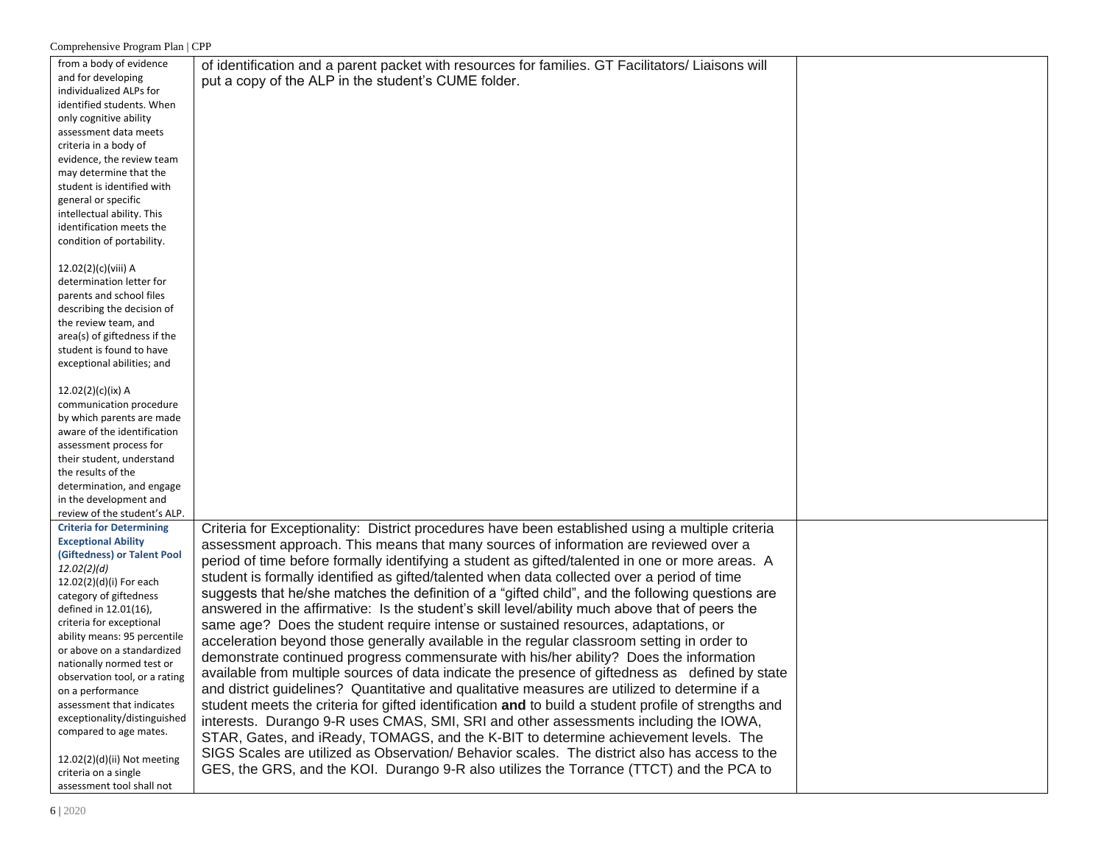| from a body of evidence         | of identification and a parent packet with resources for families. GT Facilitators/ Liaisons will    |  |
|---------------------------------|------------------------------------------------------------------------------------------------------|--|
| and for developing              |                                                                                                      |  |
| individualized ALPs for         | put a copy of the ALP in the student's CUME folder.                                                  |  |
| identified students. When       |                                                                                                      |  |
|                                 |                                                                                                      |  |
| only cognitive ability          |                                                                                                      |  |
| assessment data meets           |                                                                                                      |  |
| criteria in a body of           |                                                                                                      |  |
| evidence, the review team       |                                                                                                      |  |
| may determine that the          |                                                                                                      |  |
| student is identified with      |                                                                                                      |  |
| general or specific             |                                                                                                      |  |
| intellectual ability. This      |                                                                                                      |  |
| identification meets the        |                                                                                                      |  |
| condition of portability.       |                                                                                                      |  |
|                                 |                                                                                                      |  |
| 12.02(2)(c)(viii) A             |                                                                                                      |  |
| determination letter for        |                                                                                                      |  |
| parents and school files        |                                                                                                      |  |
| describing the decision of      |                                                                                                      |  |
| the review team, and            |                                                                                                      |  |
| area(s) of giftedness if the    |                                                                                                      |  |
| student is found to have        |                                                                                                      |  |
| exceptional abilities; and      |                                                                                                      |  |
|                                 |                                                                                                      |  |
| $12.02(2)(c)(ix)$ A             |                                                                                                      |  |
| communication procedure         |                                                                                                      |  |
| by which parents are made       |                                                                                                      |  |
| aware of the identification     |                                                                                                      |  |
| assessment process for          |                                                                                                      |  |
| their student, understand       |                                                                                                      |  |
| the results of the              |                                                                                                      |  |
| determination, and engage       |                                                                                                      |  |
| in the development and          |                                                                                                      |  |
|                                 |                                                                                                      |  |
| review of the student's ALP.    |                                                                                                      |  |
| <b>Criteria for Determining</b> | Criteria for Exceptionality: District procedures have been established using a multiple criteria     |  |
| <b>Exceptional Ability</b>      | assessment approach. This means that many sources of information are reviewed over a                 |  |
| (Giftedness) or Talent Pool     | period of time before formally identifying a student as gifted/talented in one or more areas. A      |  |
| 12.02(2)(d)                     | student is formally identified as gifted/talented when data collected over a period of time          |  |
| 12.02(2)(d)(i) For each         | suggests that he/she matches the definition of a "gifted child", and the following questions are     |  |
| category of giftedness          |                                                                                                      |  |
| defined in 12.01(16),           | answered in the affirmative: Is the student's skill level/ability much above that of peers the       |  |
| criteria for exceptional        | same age? Does the student require intense or sustained resources, adaptations, or                   |  |
| ability means: 95 percentile    | acceleration beyond those generally available in the regular classroom setting in order to           |  |
| or above on a standardized      | demonstrate continued progress commensurate with his/her ability? Does the information               |  |
| nationally normed test or       | available from multiple sources of data indicate the presence of giftedness as defined by state      |  |
| observation tool, or a rating   |                                                                                                      |  |
| on a performance                | and district guidelines? Quantitative and qualitative measures are utilized to determine if a        |  |
| assessment that indicates       | student meets the criteria for gifted identification and to build a student profile of strengths and |  |
| exceptionality/distinguished    | interests. Durango 9-R uses CMAS, SMI, SRI and other assessments including the IOWA,                 |  |
| compared to age mates.          | STAR, Gates, and iReady, TOMAGS, and the K-BIT to determine achievement levels. The                  |  |
|                                 | SIGS Scales are utilized as Observation/ Behavior scales. The district also has access to the        |  |
| 12.02(2)(d)(ii) Not meeting     |                                                                                                      |  |
| criteria on a single            | GES, the GRS, and the KOI. Durango 9-R also utilizes the Torrance (TTCT) and the PCA to              |  |
| assessment tool shall not       |                                                                                                      |  |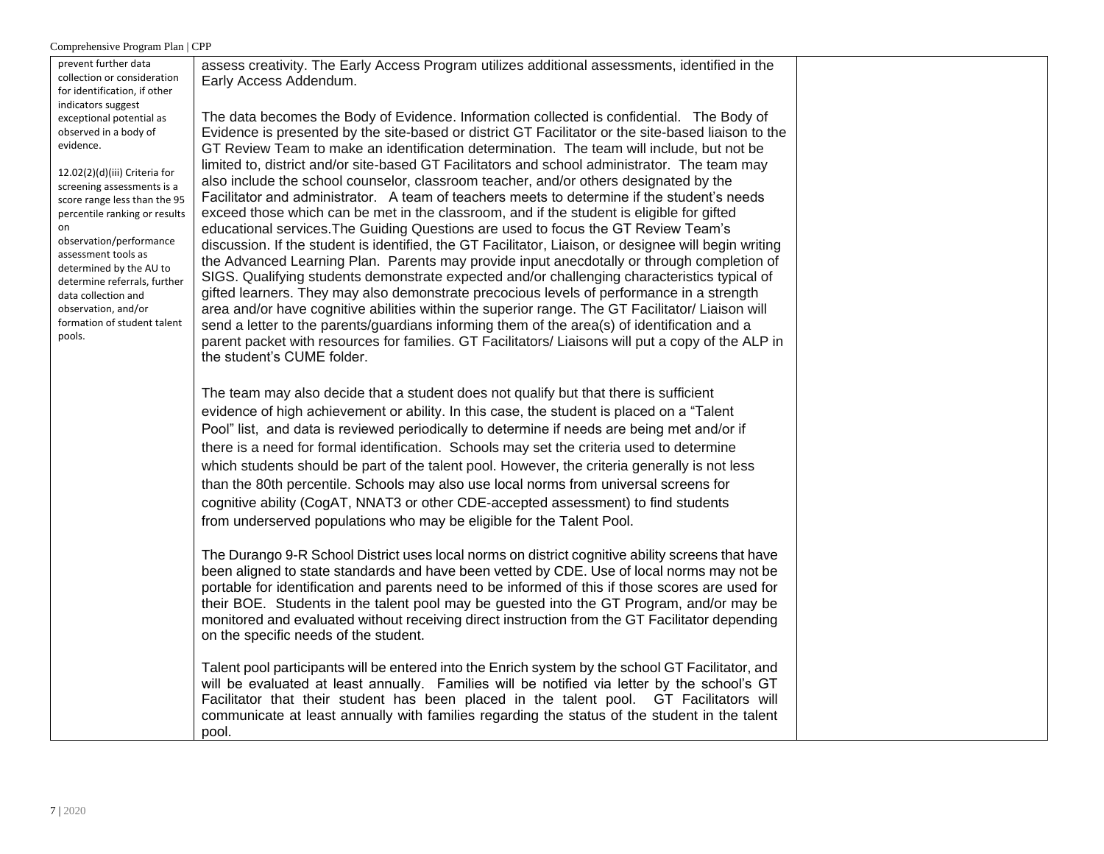| $\epsilon$ comprenensive 110 gram 1 nam                                                                                                                                                                                                                                    |                                                                                                                                                                                                                                                                                                                                                                                                                                                                                                                                                                                                                                                                                                                                                                                                                                                                                                                             |  |
|----------------------------------------------------------------------------------------------------------------------------------------------------------------------------------------------------------------------------------------------------------------------------|-----------------------------------------------------------------------------------------------------------------------------------------------------------------------------------------------------------------------------------------------------------------------------------------------------------------------------------------------------------------------------------------------------------------------------------------------------------------------------------------------------------------------------------------------------------------------------------------------------------------------------------------------------------------------------------------------------------------------------------------------------------------------------------------------------------------------------------------------------------------------------------------------------------------------------|--|
| prevent further data<br>collection or consideration<br>for identification, if other<br>indicators suggest<br>exceptional potential as<br>observed in a body of<br>evidence.<br>12.02(2)(d)(iii) Criteria for<br>screening assessments is a<br>score range less than the 95 | assess creativity. The Early Access Program utilizes additional assessments, identified in the<br>Early Access Addendum.<br>The data becomes the Body of Evidence. Information collected is confidential. The Body of<br>Evidence is presented by the site-based or district GT Facilitator or the site-based liaison to the<br>GT Review Team to make an identification determination. The team will include, but not be<br>limited to, district and/or site-based GT Facilitators and school administrator. The team may<br>also include the school counselor, classroom teacher, and/or others designated by the<br>Facilitator and administrator. A team of teachers meets to determine if the student's needs                                                                                                                                                                                                          |  |
| percentile ranking or results<br>on<br>observation/performance<br>assessment tools as<br>determined by the AU to<br>determine referrals, further<br>data collection and<br>observation, and/or<br>formation of student talent<br>pools.                                    | exceed those which can be met in the classroom, and if the student is eligible for gifted<br>educational services. The Guiding Questions are used to focus the GT Review Team's<br>discussion. If the student is identified, the GT Facilitator, Liaison, or designee will begin writing<br>the Advanced Learning Plan. Parents may provide input anecdotally or through completion of<br>SIGS. Qualifying students demonstrate expected and/or challenging characteristics typical of<br>gifted learners. They may also demonstrate precocious levels of performance in a strength<br>area and/or have cognitive abilities within the superior range. The GT Facilitator/ Liaison will<br>send a letter to the parents/guardians informing them of the area(s) of identification and a<br>parent packet with resources for families. GT Facilitators/ Liaisons will put a copy of the ALP in<br>the student's CUME folder. |  |
|                                                                                                                                                                                                                                                                            | The team may also decide that a student does not qualify but that there is sufficient<br>evidence of high achievement or ability. In this case, the student is placed on a "Talent"<br>Pool" list, and data is reviewed periodically to determine if needs are being met and/or if<br>there is a need for formal identification. Schools may set the criteria used to determine<br>which students should be part of the talent pool. However, the criteria generally is not less<br>than the 80th percentile. Schools may also use local norms from universal screens for<br>cognitive ability (CogAT, NNAT3 or other CDE-accepted assessment) to find students<br>from underserved populations who may be eligible for the Talent Pool.                                                                                                                                                                                    |  |
|                                                                                                                                                                                                                                                                            | The Durango 9-R School District uses local norms on district cognitive ability screens that have<br>been aligned to state standards and have been vetted by CDE. Use of local norms may not be<br>portable for identification and parents need to be informed of this if those scores are used for<br>their BOE. Students in the talent pool may be guested into the GT Program, and/or may be<br>monitored and evaluated without receiving direct instruction from the GT Facilitator depending<br>on the specific needs of the student.                                                                                                                                                                                                                                                                                                                                                                                   |  |
|                                                                                                                                                                                                                                                                            | Talent pool participants will be entered into the Enrich system by the school GT Facilitator, and<br>will be evaluated at least annually. Families will be notified via letter by the school's GT<br>Facilitator that their student has been placed in the talent pool. GT Facilitators will<br>communicate at least annually with families regarding the status of the student in the talent<br>pool.                                                                                                                                                                                                                                                                                                                                                                                                                                                                                                                      |  |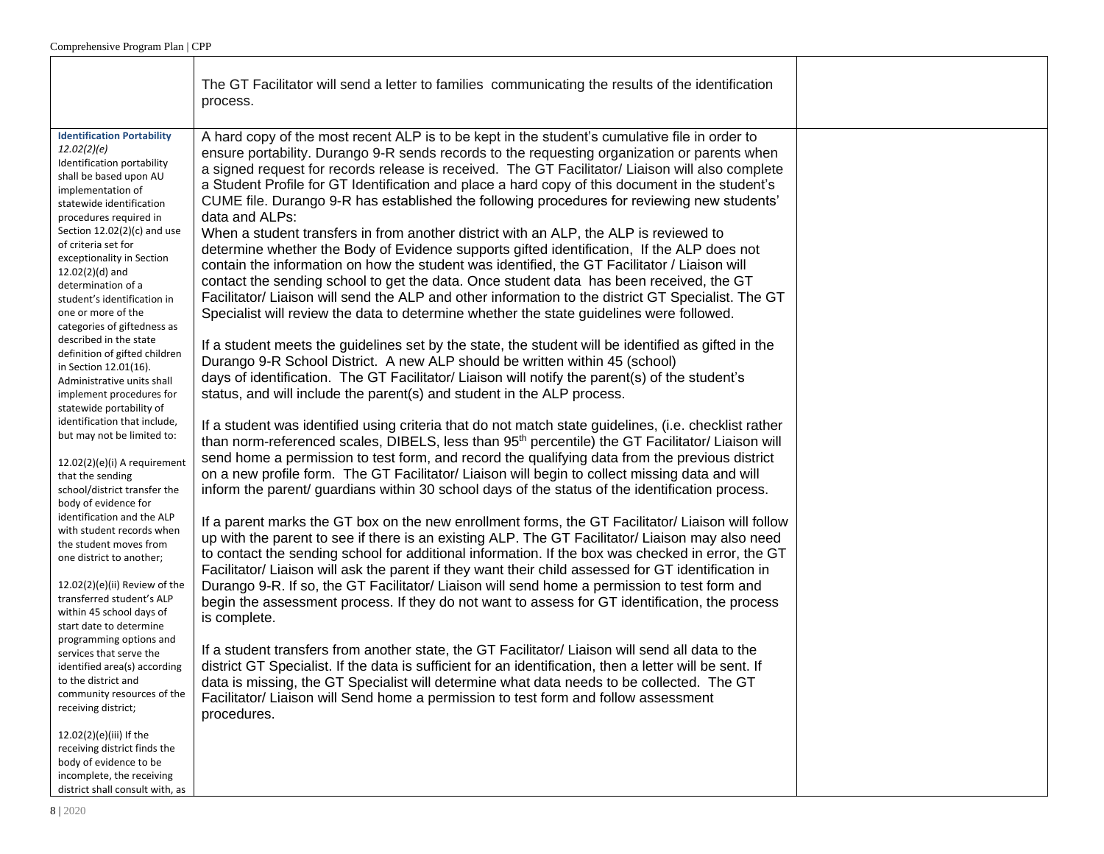- r

|                                                                                                                                                                                                                                                                                                                                                                                                                                                                                                                                                                                                                                                                                                                                                                                                                                                                                                                                                                                                                                                                                                                                                                                                                                                                                         | The GT Facilitator will send a letter to families communicating the results of the identification<br>process.                                                                                                                                                                                                                                                                                                                                                                                                                                                                                                                                                                                                                                                                                                                                                                                                                                                                                                                                                                                                                                                                                                                                                                                                                                                                                                                                                                                                                                                                                                                                                                                                                                                                                                                                                                                                                                                                                                                                                                                                                                                                                                                                                                                                                                                                                                                                                                                                                                                                                                                                                                                                                                                                                                                                                                                                                                                                                                                                                        |  |
|-----------------------------------------------------------------------------------------------------------------------------------------------------------------------------------------------------------------------------------------------------------------------------------------------------------------------------------------------------------------------------------------------------------------------------------------------------------------------------------------------------------------------------------------------------------------------------------------------------------------------------------------------------------------------------------------------------------------------------------------------------------------------------------------------------------------------------------------------------------------------------------------------------------------------------------------------------------------------------------------------------------------------------------------------------------------------------------------------------------------------------------------------------------------------------------------------------------------------------------------------------------------------------------------|----------------------------------------------------------------------------------------------------------------------------------------------------------------------------------------------------------------------------------------------------------------------------------------------------------------------------------------------------------------------------------------------------------------------------------------------------------------------------------------------------------------------------------------------------------------------------------------------------------------------------------------------------------------------------------------------------------------------------------------------------------------------------------------------------------------------------------------------------------------------------------------------------------------------------------------------------------------------------------------------------------------------------------------------------------------------------------------------------------------------------------------------------------------------------------------------------------------------------------------------------------------------------------------------------------------------------------------------------------------------------------------------------------------------------------------------------------------------------------------------------------------------------------------------------------------------------------------------------------------------------------------------------------------------------------------------------------------------------------------------------------------------------------------------------------------------------------------------------------------------------------------------------------------------------------------------------------------------------------------------------------------------------------------------------------------------------------------------------------------------------------------------------------------------------------------------------------------------------------------------------------------------------------------------------------------------------------------------------------------------------------------------------------------------------------------------------------------------------------------------------------------------------------------------------------------------------------------------------------------------------------------------------------------------------------------------------------------------------------------------------------------------------------------------------------------------------------------------------------------------------------------------------------------------------------------------------------------------------------------------------------------------------------------------------------------------|--|
| <b>Identification Portability</b><br>12.02(2)(e)<br>Identification portability<br>shall be based upon AU<br>implementation of<br>statewide identification<br>procedures required in<br>Section $12.02(2)(c)$ and use<br>of criteria set for<br>exceptionality in Section<br>$12.02(2)(d)$ and<br>determination of a<br>student's identification in<br>one or more of the<br>categories of giftedness as<br>described in the state<br>definition of gifted children<br>in Section 12.01(16).<br>Administrative units shall<br>implement procedures for<br>statewide portability of<br>identification that include,<br>but may not be limited to:<br>12.02(2)(e)(i) A requirement<br>that the sending<br>school/district transfer the<br>body of evidence for<br>identification and the ALP<br>with student records when<br>the student moves from<br>one district to another;<br>$12.02(2)(e)(ii)$ Review of the<br>transferred student's ALP<br>within 45 school days of<br>start date to determine<br>programming options and<br>services that serve the<br>identified area(s) according<br>to the district and<br>community resources of the<br>receiving district;<br>12.02(2)(e)(iii) If the<br>receiving district finds the<br>body of evidence to be<br>incomplete, the receiving | A hard copy of the most recent ALP is to be kept in the student's cumulative file in order to<br>ensure portability. Durango 9-R sends records to the requesting organization or parents when<br>a signed request for records release is received. The GT Facilitator/ Liaison will also complete<br>a Student Profile for GT Identification and place a hard copy of this document in the student's<br>CUME file. Durango 9-R has established the following procedures for reviewing new students'<br>data and ALPs:<br>When a student transfers in from another district with an ALP, the ALP is reviewed to<br>determine whether the Body of Evidence supports gifted identification, If the ALP does not<br>contain the information on how the student was identified, the GT Facilitator / Liaison will<br>contact the sending school to get the data. Once student data has been received, the GT<br>Facilitator/ Liaison will send the ALP and other information to the district GT Specialist. The GT<br>Specialist will review the data to determine whether the state guidelines were followed.<br>If a student meets the guidelines set by the state, the student will be identified as gifted in the<br>Durango 9-R School District. A new ALP should be written within 45 (school)<br>days of identification. The GT Facilitator/ Liaison will notify the parent(s) of the student's<br>status, and will include the parent(s) and student in the ALP process.<br>If a student was identified using criteria that do not match state guidelines, (i.e. checklist rather<br>than norm-referenced scales, DIBELS, less than 95 <sup>th</sup> percentile) the GT Facilitator/ Liaison will<br>send home a permission to test form, and record the qualifying data from the previous district<br>on a new profile form. The GT Facilitator/ Liaison will begin to collect missing data and will<br>inform the parent/ guardians within 30 school days of the status of the identification process.<br>If a parent marks the GT box on the new enrollment forms, the GT Facilitator/ Liaison will follow<br>up with the parent to see if there is an existing ALP. The GT Facilitator/ Liaison may also need<br>to contact the sending school for additional information. If the box was checked in error, the GT<br>Facilitator/ Liaison will ask the parent if they want their child assessed for GT identification in<br>Durango 9-R. If so, the GT Facilitator/ Liaison will send home a permission to test form and<br>begin the assessment process. If they do not want to assess for GT identification, the process<br>is complete.<br>If a student transfers from another state, the GT Facilitator/ Liaison will send all data to the<br>district GT Specialist. If the data is sufficient for an identification, then a letter will be sent. If<br>data is missing, the GT Specialist will determine what data needs to be collected. The GT<br>Facilitator/ Liaison will Send home a permission to test form and follow assessment<br>procedures. |  |
| district shall consult with, as                                                                                                                                                                                                                                                                                                                                                                                                                                                                                                                                                                                                                                                                                                                                                                                                                                                                                                                                                                                                                                                                                                                                                                                                                                                         |                                                                                                                                                                                                                                                                                                                                                                                                                                                                                                                                                                                                                                                                                                                                                                                                                                                                                                                                                                                                                                                                                                                                                                                                                                                                                                                                                                                                                                                                                                                                                                                                                                                                                                                                                                                                                                                                                                                                                                                                                                                                                                                                                                                                                                                                                                                                                                                                                                                                                                                                                                                                                                                                                                                                                                                                                                                                                                                                                                                                                                                                      |  |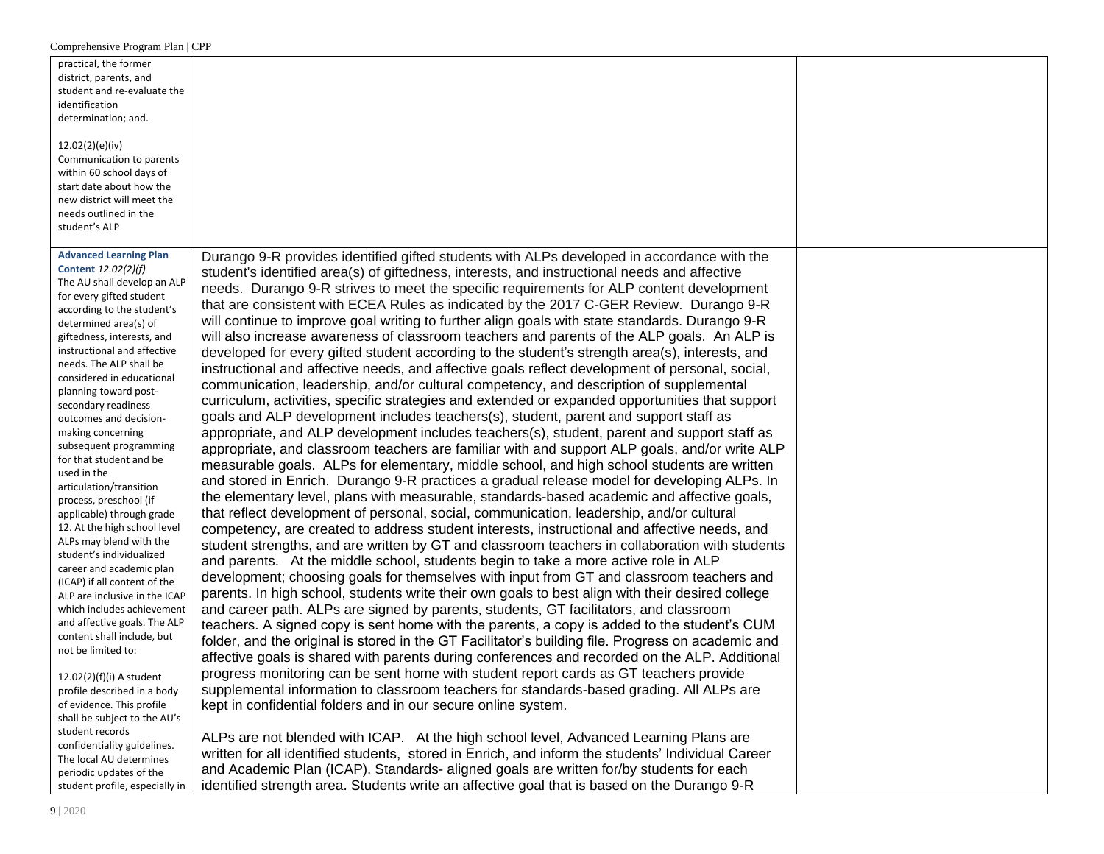| practical, the former<br>district, parents, and<br>student and re-evaluate the<br>identification<br>determination; and.<br>12.02(2)(e)(iv)<br>Communication to parents<br>within 60 school days of<br>start date about how the<br>new district will meet the<br>needs outlined in the<br>student's ALP                                                                                                                                                                                                                                                                                                                                                                                                                                                                                                                                                                                                                                                                         |                                                                                                                                                                                                                                                                                                                                                                                                                                                                                                                                                                                                                                                                                                                                                                                                                                                                                                                                                                                                                                                                                                                                                                                                                                                                                                                                                                                                                                                                                                                                                                                                                                                                                                                                                                                                                                                                                                                                                                                                                                                                                                                                                                                                                                                                                                                                                                                                                                                                                                                                                                                                                                                                                                                                                                                                                 |  |
|--------------------------------------------------------------------------------------------------------------------------------------------------------------------------------------------------------------------------------------------------------------------------------------------------------------------------------------------------------------------------------------------------------------------------------------------------------------------------------------------------------------------------------------------------------------------------------------------------------------------------------------------------------------------------------------------------------------------------------------------------------------------------------------------------------------------------------------------------------------------------------------------------------------------------------------------------------------------------------|-----------------------------------------------------------------------------------------------------------------------------------------------------------------------------------------------------------------------------------------------------------------------------------------------------------------------------------------------------------------------------------------------------------------------------------------------------------------------------------------------------------------------------------------------------------------------------------------------------------------------------------------------------------------------------------------------------------------------------------------------------------------------------------------------------------------------------------------------------------------------------------------------------------------------------------------------------------------------------------------------------------------------------------------------------------------------------------------------------------------------------------------------------------------------------------------------------------------------------------------------------------------------------------------------------------------------------------------------------------------------------------------------------------------------------------------------------------------------------------------------------------------------------------------------------------------------------------------------------------------------------------------------------------------------------------------------------------------------------------------------------------------------------------------------------------------------------------------------------------------------------------------------------------------------------------------------------------------------------------------------------------------------------------------------------------------------------------------------------------------------------------------------------------------------------------------------------------------------------------------------------------------------------------------------------------------------------------------------------------------------------------------------------------------------------------------------------------------------------------------------------------------------------------------------------------------------------------------------------------------------------------------------------------------------------------------------------------------------------------------------------------------------------------------------------------------|--|
| <b>Advanced Learning Plan</b><br>Content 12.02(2)(f)<br>The AU shall develop an ALP<br>for every gifted student<br>according to the student's<br>determined area(s) of<br>giftedness, interests, and<br>instructional and affective<br>needs. The ALP shall be<br>considered in educational<br>planning toward post-<br>secondary readiness<br>outcomes and decision-<br>making concerning<br>subsequent programming<br>for that student and be<br>used in the<br>articulation/transition<br>process, preschool (if<br>applicable) through grade<br>12. At the high school level<br>ALPs may blend with the<br>student's individualized<br>career and academic plan<br>(ICAP) if all content of the<br>ALP are inclusive in the ICAP<br>which includes achievement<br>and affective goals. The ALP<br>content shall include, but<br>not be limited to:<br>12.02(2)(f)(i) A student<br>profile described in a body<br>of evidence. This profile<br>shall be subject to the AU's | Durango 9-R provides identified gifted students with ALPs developed in accordance with the<br>student's identified area(s) of giftedness, interests, and instructional needs and affective<br>needs. Durango 9-R strives to meet the specific requirements for ALP content development<br>that are consistent with ECEA Rules as indicated by the 2017 C-GER Review. Durango 9-R<br>will continue to improve goal writing to further align goals with state standards. Durango 9-R<br>will also increase awareness of classroom teachers and parents of the ALP goals. An ALP is<br>developed for every gifted student according to the student's strength area(s), interests, and<br>instructional and affective needs, and affective goals reflect development of personal, social,<br>communication, leadership, and/or cultural competency, and description of supplemental<br>curriculum, activities, specific strategies and extended or expanded opportunities that support<br>goals and ALP development includes teachers(s), student, parent and support staff as<br>appropriate, and ALP development includes teachers(s), student, parent and support staff as<br>appropriate, and classroom teachers are familiar with and support ALP goals, and/or write ALP<br>measurable goals. ALPs for elementary, middle school, and high school students are written<br>and stored in Enrich. Durango 9-R practices a gradual release model for developing ALPs. In<br>the elementary level, plans with measurable, standards-based academic and affective goals,<br>that reflect development of personal, social, communication, leadership, and/or cultural<br>competency, are created to address student interests, instructional and affective needs, and<br>student strengths, and are written by GT and classroom teachers in collaboration with students<br>and parents. At the middle school, students begin to take a more active role in ALP<br>development; choosing goals for themselves with input from GT and classroom teachers and<br>parents. In high school, students write their own goals to best align with their desired college<br>and career path. ALPs are signed by parents, students, GT facilitators, and classroom<br>teachers. A signed copy is sent home with the parents, a copy is added to the student's CUM<br>folder, and the original is stored in the GT Facilitator's building file. Progress on academic and<br>affective goals is shared with parents during conferences and recorded on the ALP. Additional<br>progress monitoring can be sent home with student report cards as GT teachers provide<br>supplemental information to classroom teachers for standards-based grading. All ALPs are<br>kept in confidential folders and in our secure online system. |  |
| student records<br>confidentiality guidelines.<br>The local AU determines<br>periodic updates of the<br>student profile, especially in                                                                                                                                                                                                                                                                                                                                                                                                                                                                                                                                                                                                                                                                                                                                                                                                                                         | ALPs are not blended with ICAP. At the high school level, Advanced Learning Plans are<br>written for all identified students, stored in Enrich, and inform the students' Individual Career<br>and Academic Plan (ICAP). Standards- aligned goals are written for/by students for each<br>identified strength area. Students write an affective goal that is based on the Durango 9-R                                                                                                                                                                                                                                                                                                                                                                                                                                                                                                                                                                                                                                                                                                                                                                                                                                                                                                                                                                                                                                                                                                                                                                                                                                                                                                                                                                                                                                                                                                                                                                                                                                                                                                                                                                                                                                                                                                                                                                                                                                                                                                                                                                                                                                                                                                                                                                                                                            |  |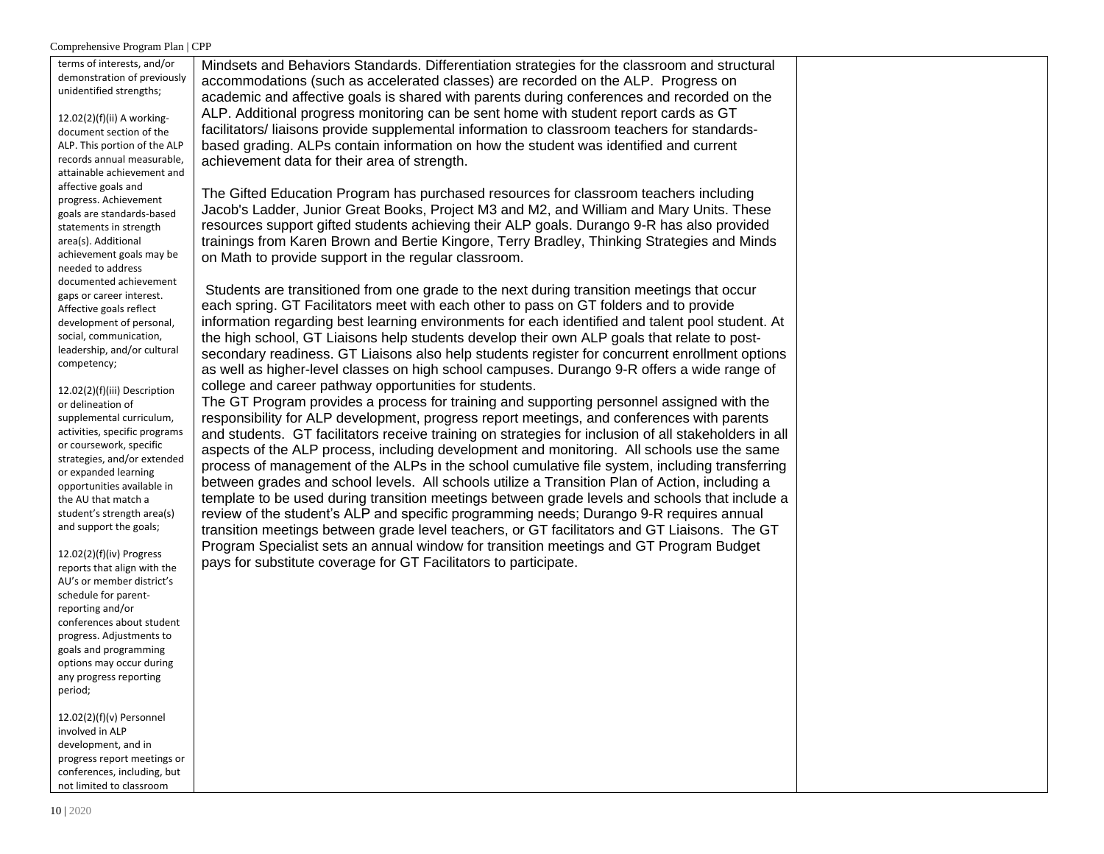| terms of interests, and/or<br>demonstration of previously<br>unidentified strengths;     | Mindsets and Behaviors Standards. Differentiation strategies for the classroom and structural<br>accommodations (such as accelerated classes) are recorded on the ALP. Progress on<br>academic and affective goals is shared with parents during conferences and recorded on the                  |  |
|------------------------------------------------------------------------------------------|---------------------------------------------------------------------------------------------------------------------------------------------------------------------------------------------------------------------------------------------------------------------------------------------------|--|
| $12.02(2)(f)(ii)$ A working-<br>document section of the                                  | ALP. Additional progress monitoring can be sent home with student report cards as GT<br>facilitators/liaisons provide supplemental information to classroom teachers for standards-                                                                                                               |  |
| ALP. This portion of the ALP<br>records annual measurable,<br>attainable achievement and | based grading. ALPs contain information on how the student was identified and current<br>achievement data for their area of strength.                                                                                                                                                             |  |
| affective goals and<br>progress. Achievement                                             | The Gifted Education Program has purchased resources for classroom teachers including<br>Jacob's Ladder, Junior Great Books, Project M3 and M2, and William and Mary Units. These                                                                                                                 |  |
| goals are standards-based<br>statements in strength<br>area(s). Additional               | resources support gifted students achieving their ALP goals. Durango 9-R has also provided<br>trainings from Karen Brown and Bertie Kingore, Terry Bradley, Thinking Strategies and Minds                                                                                                         |  |
| achievement goals may be<br>needed to address<br>documented achievement                  | on Math to provide support in the regular classroom.                                                                                                                                                                                                                                              |  |
| gaps or career interest.<br>Affective goals reflect                                      | Students are transitioned from one grade to the next during transition meetings that occur<br>each spring. GT Facilitators meet with each other to pass on GT folders and to provide                                                                                                              |  |
| development of personal,<br>social, communication,<br>leadership, and/or cultural        | information regarding best learning environments for each identified and talent pool student. At<br>the high school, GT Liaisons help students develop their own ALP goals that relate to post-<br>secondary readiness. GT Liaisons also help students register for concurrent enrollment options |  |
| competency;<br>12.02(2)(f)(iii) Description                                              | as well as higher-level classes on high school campuses. Durango 9-R offers a wide range of<br>college and career pathway opportunities for students.                                                                                                                                             |  |
| or delineation of<br>supplemental curriculum,<br>activities, specific programs           | The GT Program provides a process for training and supporting personnel assigned with the<br>responsibility for ALP development, progress report meetings, and conferences with parents<br>and students. GT facilitators receive training on strategies for inclusion of all stakeholders in all  |  |
| or coursework, specific<br>strategies, and/or extended                                   | aspects of the ALP process, including development and monitoring. All schools use the same<br>process of management of the ALPs in the school cumulative file system, including transferring                                                                                                      |  |
| or expanded learning<br>opportunities available in<br>the AU that match a                | between grades and school levels. All schools utilize a Transition Plan of Action, including a<br>template to be used during transition meetings between grade levels and schools that include a                                                                                                  |  |
| student's strength area(s)<br>and support the goals;                                     | review of the student's ALP and specific programming needs; Durango 9-R requires annual<br>transition meetings between grade level teachers, or GT facilitators and GT Liaisons. The GT<br>Program Specialist sets an annual window for transition meetings and GT Program Budget                 |  |
| $12.02(2)(f)(iv)$ Progress<br>reports that align with the<br>AU's or member district's   | pays for substitute coverage for GT Facilitators to participate.                                                                                                                                                                                                                                  |  |
| schedule for parent-<br>reporting and/or                                                 |                                                                                                                                                                                                                                                                                                   |  |
| conferences about student<br>progress. Adjustments to<br>goals and programming           |                                                                                                                                                                                                                                                                                                   |  |
| options may occur during<br>any progress reporting<br>period;                            |                                                                                                                                                                                                                                                                                                   |  |
| $12.02(2)(f)(v)$ Personnel<br>involved in ALP                                            |                                                                                                                                                                                                                                                                                                   |  |
| development, and in<br>progress report meetings or<br>conferences, including, but        |                                                                                                                                                                                                                                                                                                   |  |

not limited to classroom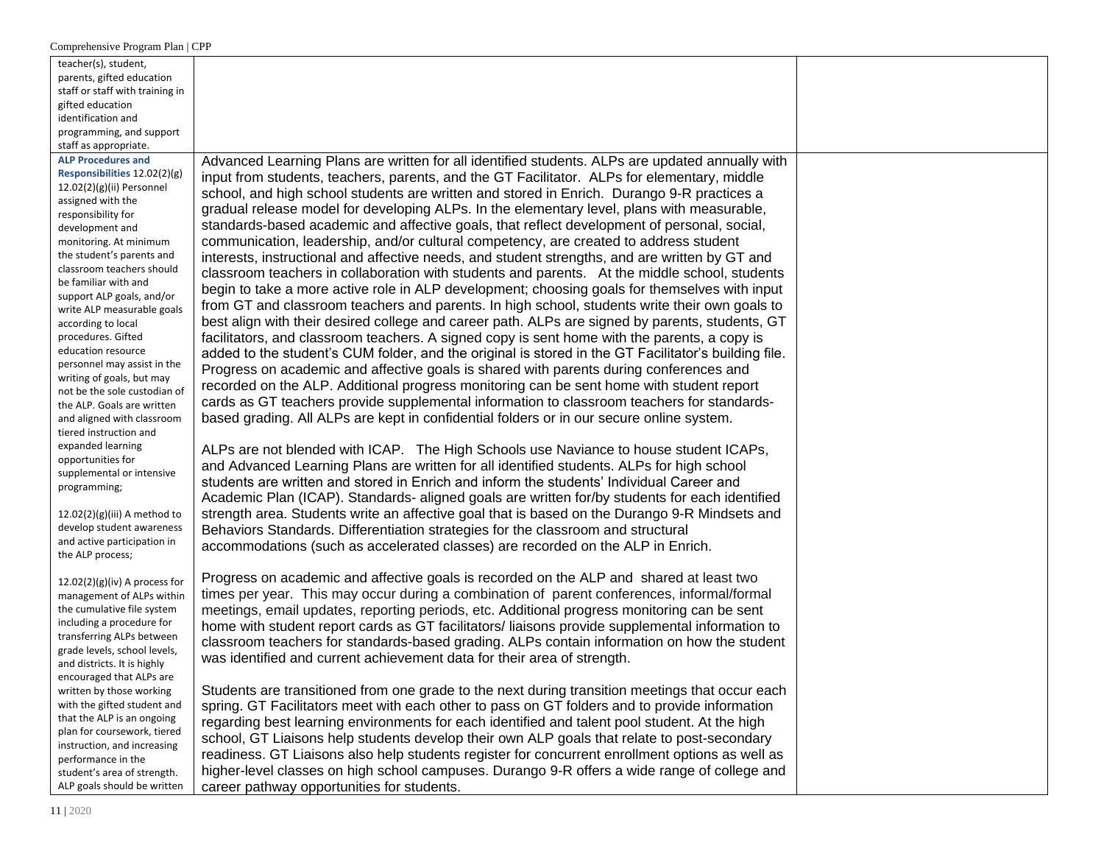| teacher(s), student,                                       |                                                                                                      |  |
|------------------------------------------------------------|------------------------------------------------------------------------------------------------------|--|
| parents, gifted education                                  |                                                                                                      |  |
| staff or staff with training in                            |                                                                                                      |  |
| gifted education                                           |                                                                                                      |  |
| identification and                                         |                                                                                                      |  |
| programming, and support                                   |                                                                                                      |  |
| staff as appropriate.                                      |                                                                                                      |  |
| <b>ALP Procedures and</b>                                  | Advanced Learning Plans are written for all identified students. ALPs are updated annually with      |  |
| Responsibilities 12.02(2)(g)                               | input from students, teachers, parents, and the GT Facilitator. ALPs for elementary, middle          |  |
| $12.02(2)(g)(ii)$ Personnel<br>assigned with the           | school, and high school students are written and stored in Enrich. Durango 9-R practices a           |  |
| responsibility for                                         | gradual release model for developing ALPs. In the elementary level, plans with measurable,           |  |
| development and                                            | standards-based academic and affective goals, that reflect development of personal, social,          |  |
| monitoring. At minimum                                     | communication, leadership, and/or cultural competency, are created to address student                |  |
| the student's parents and                                  | interests, instructional and affective needs, and student strengths, and are written by GT and       |  |
| classroom teachers should                                  | classroom teachers in collaboration with students and parents. At the middle school, students        |  |
| be familiar with and                                       |                                                                                                      |  |
| support ALP goals, and/or                                  | begin to take a more active role in ALP development; choosing goals for themselves with input        |  |
| write ALP measurable goals                                 | from GT and classroom teachers and parents. In high school, students write their own goals to        |  |
| according to local                                         | best align with their desired college and career path. ALPs are signed by parents, students, GT      |  |
| procedures. Gifted                                         | facilitators, and classroom teachers. A signed copy is sent home with the parents, a copy is         |  |
| education resource                                         | added to the student's CUM folder, and the original is stored in the GT Facilitator's building file. |  |
| personnel may assist in the                                | Progress on academic and affective goals is shared with parents during conferences and               |  |
| writing of goals, but may<br>not be the sole custodian of  | recorded on the ALP. Additional progress monitoring can be sent home with student report             |  |
| the ALP. Goals are written                                 | cards as GT teachers provide supplemental information to classroom teachers for standards-           |  |
| and aligned with classroom                                 | based grading. All ALPs are kept in confidential folders or in our secure online system.             |  |
| tiered instruction and                                     |                                                                                                      |  |
| expanded learning                                          |                                                                                                      |  |
| opportunities for                                          | ALPs are not blended with ICAP. The High Schools use Naviance to house student ICAPs,                |  |
| supplemental or intensive                                  | and Advanced Learning Plans are written for all identified students. ALPs for high school            |  |
| programming;                                               | students are written and stored in Enrich and inform the students' Individual Career and             |  |
|                                                            | Academic Plan (ICAP). Standards- aligned goals are written for/by students for each identified       |  |
| $12.02(2)(g)(iii)$ A method to                             | strength area. Students write an affective goal that is based on the Durango 9-R Mindsets and        |  |
| develop student awareness                                  | Behaviors Standards. Differentiation strategies for the classroom and structural                     |  |
| and active participation in                                | accommodations (such as accelerated classes) are recorded on the ALP in Enrich.                      |  |
| the ALP process;                                           |                                                                                                      |  |
| $12.02(2)(g)(iv)$ A process for                            | Progress on academic and affective goals is recorded on the ALP and shared at least two              |  |
| management of ALPs within                                  | times per year. This may occur during a combination of parent conferences, informal/formal           |  |
| the cumulative file system                                 | meetings, email updates, reporting periods, etc. Additional progress monitoring can be sent          |  |
| including a procedure for                                  | home with student report cards as GT facilitators/liaisons provide supplemental information to       |  |
| transferring ALPs between                                  | classroom teachers for standards-based grading. ALPs contain information on how the student          |  |
| grade levels, school levels,                               |                                                                                                      |  |
| and districts. It is highly                                | was identified and current achievement data for their area of strength.                              |  |
| encouraged that ALPs are                                   |                                                                                                      |  |
| written by those working                                   | Students are transitioned from one grade to the next during transition meetings that occur each      |  |
| with the gifted student and                                | spring. GT Facilitators meet with each other to pass on GT folders and to provide information        |  |
| that the ALP is an ongoing                                 | regarding best learning environments for each identified and talent pool student. At the high        |  |
| plan for coursework, tiered<br>instruction, and increasing | school, GT Liaisons help students develop their own ALP goals that relate to post-secondary          |  |
| performance in the                                         | readiness. GT Liaisons also help students register for concurrent enrollment options as well as      |  |
| student's area of strength.                                | higher-level classes on high school campuses. Durango 9-R offers a wide range of college and         |  |
| ALP goals should be written                                | career pathway opportunities for students.                                                           |  |
|                                                            |                                                                                                      |  |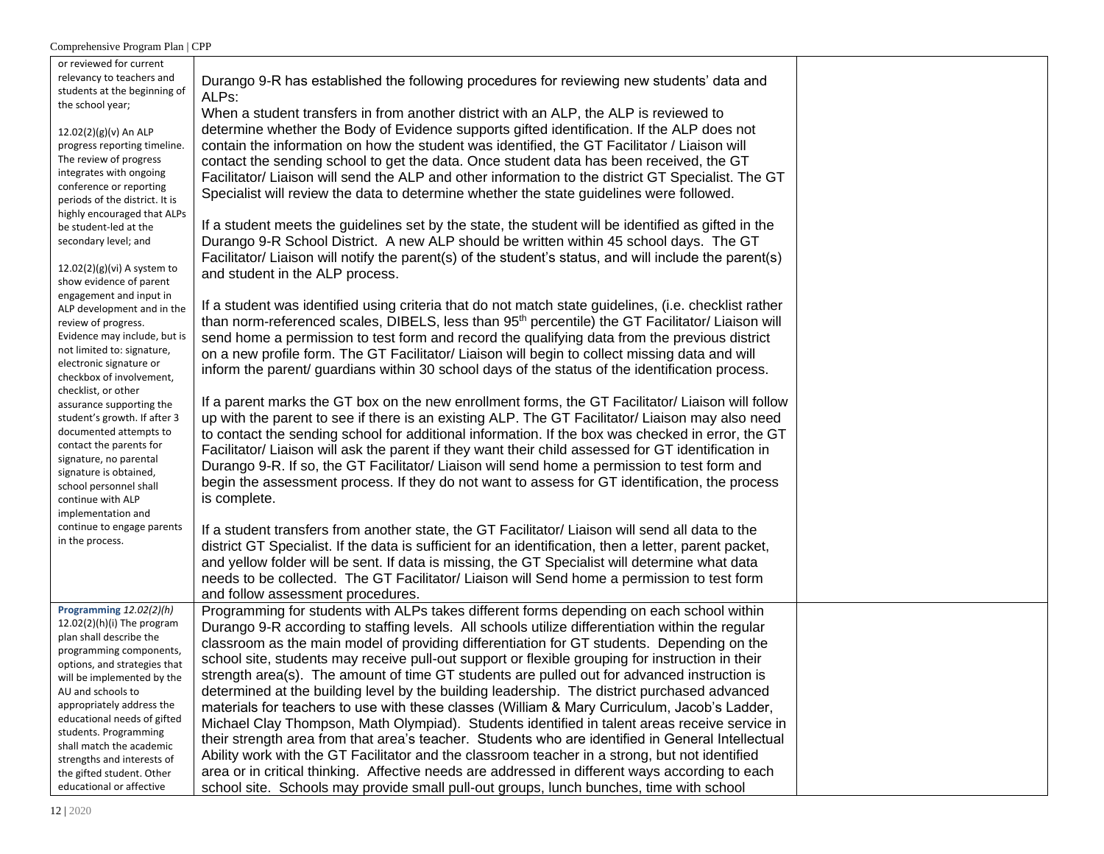| or reviewed for current<br>relevancy to teachers and          |                                                                                                              |  |
|---------------------------------------------------------------|--------------------------------------------------------------------------------------------------------------|--|
| students at the beginning of                                  | Durango 9-R has established the following procedures for reviewing new students' data and<br>ALPs:           |  |
| the school year;                                              | When a student transfers in from another district with an ALP, the ALP is reviewed to                        |  |
| 12.02(2)(g)(v) An ALP                                         | determine whether the Body of Evidence supports gifted identification. If the ALP does not                   |  |
| progress reporting timeline.                                  | contain the information on how the student was identified, the GT Facilitator / Liaison will                 |  |
| The review of progress                                        | contact the sending school to get the data. Once student data has been received, the GT                      |  |
| integrates with ongoing                                       | Facilitator/ Liaison will send the ALP and other information to the district GT Specialist. The GT           |  |
| conference or reporting                                       | Specialist will review the data to determine whether the state guidelines were followed.                     |  |
| periods of the district. It is<br>highly encouraged that ALPs |                                                                                                              |  |
| be student-led at the                                         | If a student meets the guidelines set by the state, the student will be identified as gifted in the          |  |
| secondary level; and                                          | Durango 9-R School District. A new ALP should be written within 45 school days. The GT                       |  |
|                                                               | Facilitator/ Liaison will notify the parent(s) of the student's status, and will include the parent(s)       |  |
| $12.02(2)(g)(vi)$ A system to<br>show evidence of parent      | and student in the ALP process.                                                                              |  |
| engagement and input in                                       |                                                                                                              |  |
| ALP development and in the                                    | If a student was identified using criteria that do not match state guidelines, (i.e. checklist rather        |  |
| review of progress.                                           | than norm-referenced scales, DIBELS, less than 95 <sup>th</sup> percentile) the GT Facilitator/ Liaison will |  |
| Evidence may include, but is                                  | send home a permission to test form and record the qualifying data from the previous district                |  |
| not limited to: signature,                                    | on a new profile form. The GT Facilitator/ Liaison will begin to collect missing data and will               |  |
| electronic signature or<br>checkbox of involvement,           | inform the parent/ guardians within 30 school days of the status of the identification process.              |  |
| checklist, or other                                           |                                                                                                              |  |
| assurance supporting the                                      | If a parent marks the GT box on the new enrollment forms, the GT Facilitator/ Liaison will follow            |  |
| student's growth. If after 3                                  | up with the parent to see if there is an existing ALP. The GT Facilitator/ Liaison may also need             |  |
| documented attempts to                                        | to contact the sending school for additional information. If the box was checked in error, the GT            |  |
| contact the parents for                                       | Facilitator/ Liaison will ask the parent if they want their child assessed for GT identification in          |  |
| signature, no parental<br>signature is obtained,              | Durango 9-R. If so, the GT Facilitator/ Liaison will send home a permission to test form and                 |  |
| school personnel shall                                        | begin the assessment process. If they do not want to assess for GT identification, the process               |  |
| continue with ALP                                             | is complete.                                                                                                 |  |
| implementation and                                            |                                                                                                              |  |
| continue to engage parents                                    | If a student transfers from another state, the GT Facilitator/ Liaison will send all data to the             |  |
| in the process.                                               | district GT Specialist. If the data is sufficient for an identification, then a letter, parent packet,       |  |
|                                                               | and yellow folder will be sent. If data is missing, the GT Specialist will determine what data               |  |
|                                                               | needs to be collected. The GT Facilitator/ Liaison will Send home a permission to test form                  |  |
|                                                               | and follow assessment procedures.                                                                            |  |
| Programming 12.02(2)(h)                                       | Programming for students with ALPs takes different forms depending on each school within                     |  |
| $12.02(2)(h)(i)$ The program                                  | Durango 9-R according to staffing levels. All schools utilize differentiation within the regular             |  |
| plan shall describe the<br>programming components,            | classroom as the main model of providing differentiation for GT students. Depending on the                   |  |
| options, and strategies that                                  | school site, students may receive pull-out support or flexible grouping for instruction in their             |  |
| will be implemented by the                                    | strength area(s). The amount of time GT students are pulled out for advanced instruction is                  |  |
| AU and schools to                                             | determined at the building level by the building leadership. The district purchased advanced                 |  |
| appropriately address the                                     | materials for teachers to use with these classes (William & Mary Curriculum, Jacob's Ladder,                 |  |
| educational needs of gifted                                   | Michael Clay Thompson, Math Olympiad). Students identified in talent areas receive service in                |  |
| students. Programming<br>shall match the academic             | their strength area from that area's teacher. Students who are identified in General Intellectual            |  |
| strengths and interests of                                    | Ability work with the GT Facilitator and the classroom teacher in a strong, but not identified               |  |
| the gifted student. Other                                     | area or in critical thinking. Affective needs are addressed in different ways according to each              |  |
| educational or affective                                      | school site. Schools may provide small pull-out groups, lunch bunches, time with school                      |  |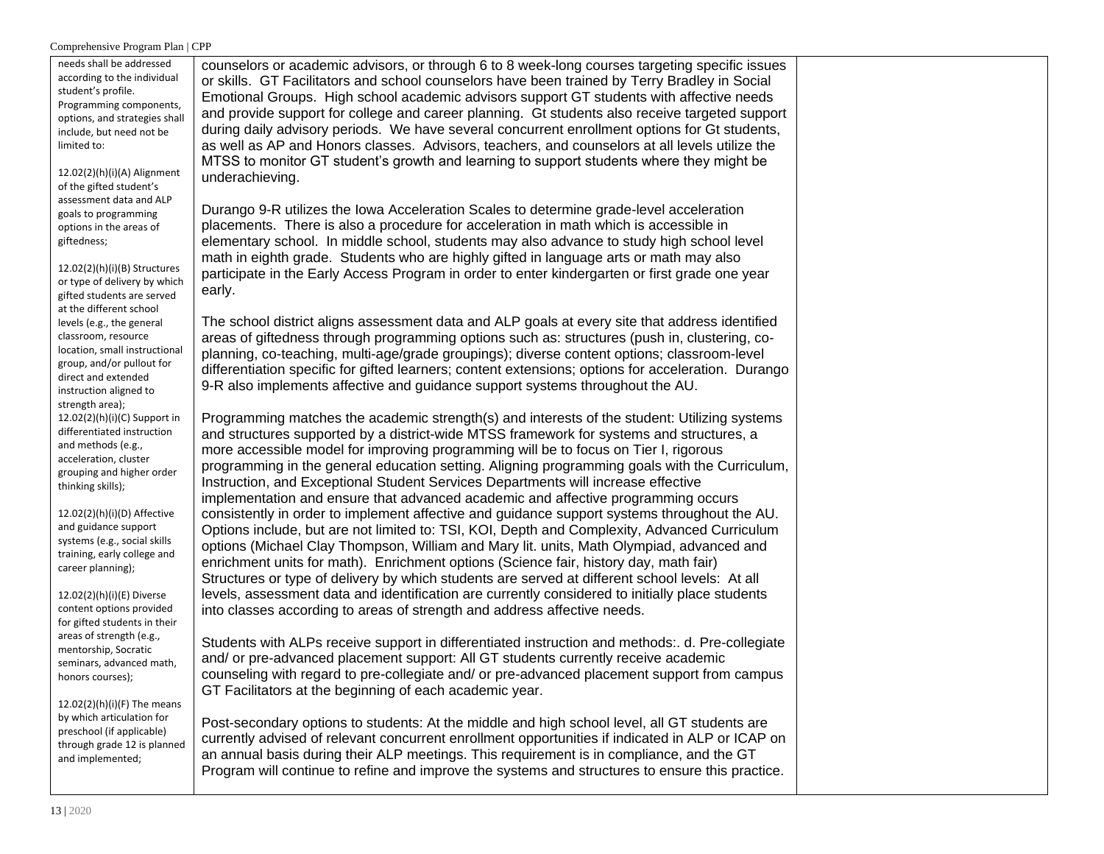| needs shall be addressed<br>according to the individual<br>student's profile.<br>Programming components,<br>options, and strategies shall<br>include, but need not be<br>limited to:<br>12.02(2)(h)(i)(A) Alignment<br>of the gifted student's<br>assessment data and ALP                                                             | counselors or academic advisors, or through 6 to 8 week-long courses targeting specific issues<br>or skills. GT Facilitators and school counselors have been trained by Terry Bradley in Social<br>Emotional Groups. High school academic advisors support GT students with affective needs<br>and provide support for college and career planning. Gt students also receive targeted support<br>during daily advisory periods. We have several concurrent enrollment options for Gt students,<br>as well as AP and Honors classes. Advisors, teachers, and counselors at all levels utilize the<br>MTSS to monitor GT student's growth and learning to support students where they might be<br>underachieving.                                                                                                                                                                                                                                                                                                                                                                                                                                       |  |
|---------------------------------------------------------------------------------------------------------------------------------------------------------------------------------------------------------------------------------------------------------------------------------------------------------------------------------------|-------------------------------------------------------------------------------------------------------------------------------------------------------------------------------------------------------------------------------------------------------------------------------------------------------------------------------------------------------------------------------------------------------------------------------------------------------------------------------------------------------------------------------------------------------------------------------------------------------------------------------------------------------------------------------------------------------------------------------------------------------------------------------------------------------------------------------------------------------------------------------------------------------------------------------------------------------------------------------------------------------------------------------------------------------------------------------------------------------------------------------------------------------|--|
| goals to programming<br>options in the areas of<br>giftedness;<br>$12.02(2)(h)(i)(B)$ Structures<br>or type of delivery by which<br>gifted students are served<br>at the different school                                                                                                                                             | Durango 9-R utilizes the Iowa Acceleration Scales to determine grade-level acceleration<br>placements. There is also a procedure for acceleration in math which is accessible in<br>elementary school. In middle school, students may also advance to study high school level<br>math in eighth grade. Students who are highly gifted in language arts or math may also<br>participate in the Early Access Program in order to enter kindergarten or first grade one year<br>early.                                                                                                                                                                                                                                                                                                                                                                                                                                                                                                                                                                                                                                                                   |  |
| levels (e.g., the general<br>classroom, resource<br>location, small instructional<br>group, and/or pullout for<br>direct and extended<br>instruction aligned to<br>strength area);                                                                                                                                                    | The school district aligns assessment data and ALP goals at every site that address identified<br>areas of giftedness through programming options such as: structures (push in, clustering, co-<br>planning, co-teaching, multi-age/grade groupings); diverse content options; classroom-level<br>differentiation specific for gifted learners; content extensions; options for acceleration. Durango<br>9-R also implements affective and guidance support systems throughout the AU.                                                                                                                                                                                                                                                                                                                                                                                                                                                                                                                                                                                                                                                                |  |
| $12.02(2)(h)(i)(C)$ Support in<br>differentiated instruction<br>and methods (e.g.,<br>acceleration, cluster<br>grouping and higher order<br>thinking skills);<br>12.02(2)(h)(i)(D) Affective<br>and guidance support<br>systems (e.g., social skills<br>training, early college and<br>career planning);<br>12.02(2)(h)(i)(E) Diverse | Programming matches the academic strength(s) and interests of the student: Utilizing systems<br>and structures supported by a district-wide MTSS framework for systems and structures, a<br>more accessible model for improving programming will be to focus on Tier I, rigorous<br>programming in the general education setting. Aligning programming goals with the Curriculum,<br>Instruction, and Exceptional Student Services Departments will increase effective<br>implementation and ensure that advanced academic and affective programming occurs<br>consistently in order to implement affective and guidance support systems throughout the AU.<br>Options include, but are not limited to: TSI, KOI, Depth and Complexity, Advanced Curriculum<br>options (Michael Clay Thompson, William and Mary lit. units, Math Olympiad, advanced and<br>enrichment units for math). Enrichment options (Science fair, history day, math fair)<br>Structures or type of delivery by which students are served at different school levels: At all<br>levels, assessment data and identification are currently considered to initially place students |  |
| content options provided<br>for gifted students in their<br>areas of strength (e.g.,<br>mentorship, Socratic<br>seminars, advanced math,<br>honors courses);<br>$12.02(2)(h)(i)(F)$ The means<br>by which articulation for                                                                                                            | into classes according to areas of strength and address affective needs.<br>Students with ALPs receive support in differentiated instruction and methods: d. Pre-collegiate<br>and/ or pre-advanced placement support: All GT students currently receive academic<br>counseling with regard to pre-collegiate and/ or pre-advanced placement support from campus<br>GT Facilitators at the beginning of each academic year.                                                                                                                                                                                                                                                                                                                                                                                                                                                                                                                                                                                                                                                                                                                           |  |
| preschool (if applicable)<br>through grade 12 is planned<br>and implemented;                                                                                                                                                                                                                                                          | Post-secondary options to students: At the middle and high school level, all GT students are<br>currently advised of relevant concurrent enrollment opportunities if indicated in ALP or ICAP on<br>an annual basis during their ALP meetings. This requirement is in compliance, and the GT<br>Program will continue to refine and improve the systems and structures to ensure this practice.                                                                                                                                                                                                                                                                                                                                                                                                                                                                                                                                                                                                                                                                                                                                                       |  |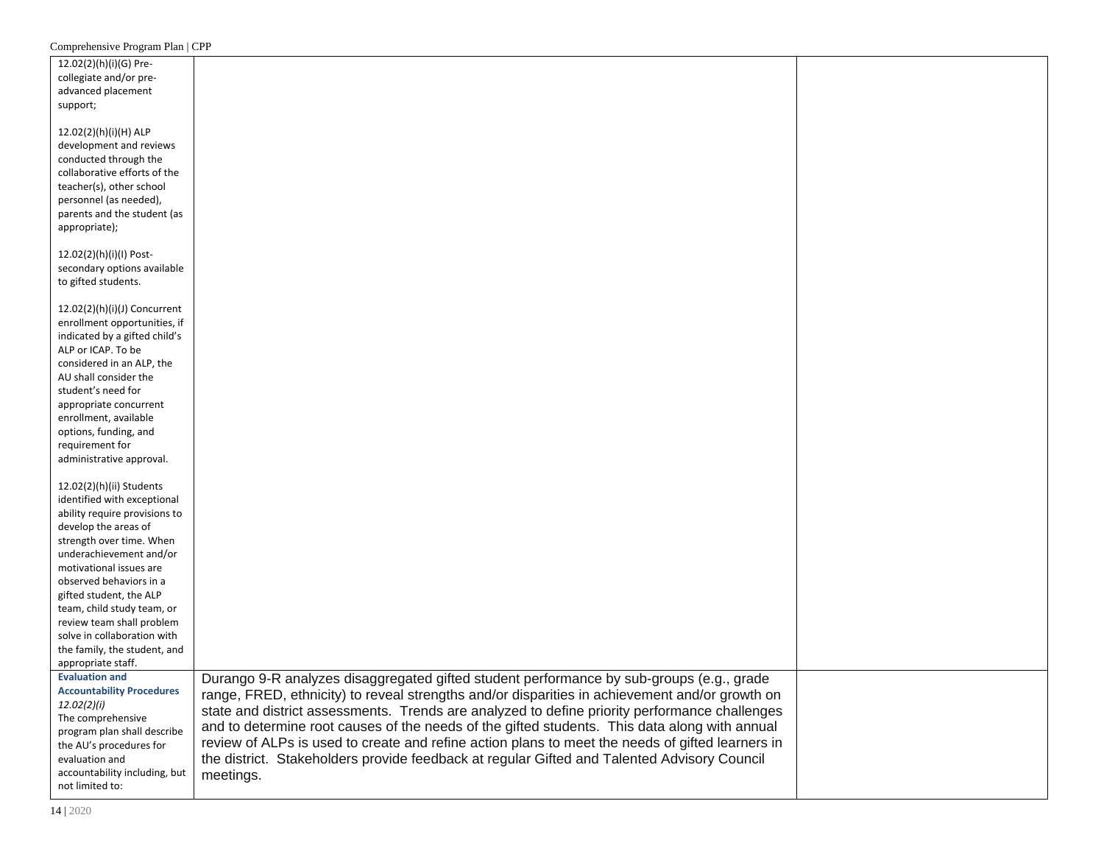| 12.02(2)(h)(i)(G) Pre-                    |                                                                                                  |  |
|-------------------------------------------|--------------------------------------------------------------------------------------------------|--|
| collegiate and/or pre-                    |                                                                                                  |  |
| advanced placement                        |                                                                                                  |  |
| support;                                  |                                                                                                  |  |
|                                           |                                                                                                  |  |
| 12.02(2)(h)(i)(H) ALP                     |                                                                                                  |  |
|                                           |                                                                                                  |  |
| development and reviews                   |                                                                                                  |  |
| conducted through the                     |                                                                                                  |  |
| collaborative efforts of the              |                                                                                                  |  |
| teacher(s), other school                  |                                                                                                  |  |
| personnel (as needed),                    |                                                                                                  |  |
| parents and the student (as               |                                                                                                  |  |
| appropriate);                             |                                                                                                  |  |
|                                           |                                                                                                  |  |
| 12.02(2)(h)(i)(l) Post-                   |                                                                                                  |  |
| secondary options available               |                                                                                                  |  |
| to gifted students.                       |                                                                                                  |  |
|                                           |                                                                                                  |  |
| 12.02(2)(h)(i)(J) Concurrent              |                                                                                                  |  |
| enrollment opportunities, if              |                                                                                                  |  |
| indicated by a gifted child's             |                                                                                                  |  |
| ALP or ICAP. To be                        |                                                                                                  |  |
| considered in an ALP, the                 |                                                                                                  |  |
| AU shall consider the                     |                                                                                                  |  |
| student's need for                        |                                                                                                  |  |
| appropriate concurrent                    |                                                                                                  |  |
| enrollment, available                     |                                                                                                  |  |
| options, funding, and                     |                                                                                                  |  |
| requirement for                           |                                                                                                  |  |
| administrative approval.                  |                                                                                                  |  |
|                                           |                                                                                                  |  |
| 12.02(2)(h)(ii) Students                  |                                                                                                  |  |
| identified with exceptional               |                                                                                                  |  |
| ability require provisions to             |                                                                                                  |  |
| develop the areas of                      |                                                                                                  |  |
| strength over time. When                  |                                                                                                  |  |
| underachievement and/or                   |                                                                                                  |  |
| motivational issues are                   |                                                                                                  |  |
| observed behaviors in a                   |                                                                                                  |  |
| gifted student, the ALP                   |                                                                                                  |  |
| team, child study team, or                |                                                                                                  |  |
| review team shall problem                 |                                                                                                  |  |
| solve in collaboration with               |                                                                                                  |  |
| the family, the student, and              |                                                                                                  |  |
| appropriate staff.                        |                                                                                                  |  |
| <b>Evaluation and</b>                     | Durango 9-R analyzes disaggregated gifted student performance by sub-groups (e.g., grade         |  |
| <b>Accountability Procedures</b>          |                                                                                                  |  |
| 12.02(2)(i)                               | range, FRED, ethnicity) to reveal strengths and/or disparities in achievement and/or growth on   |  |
| The comprehensive                         | state and district assessments. Trends are analyzed to define priority performance challenges    |  |
| program plan shall describe               | and to determine root causes of the needs of the gifted students. This data along with annual    |  |
|                                           | review of ALPs is used to create and refine action plans to meet the needs of gifted learners in |  |
| the AU's procedures for<br>evaluation and | the district. Stakeholders provide feedback at regular Gifted and Talented Advisory Council      |  |
|                                           |                                                                                                  |  |
| accountability including, but             | meetings.                                                                                        |  |
| not limited to:                           |                                                                                                  |  |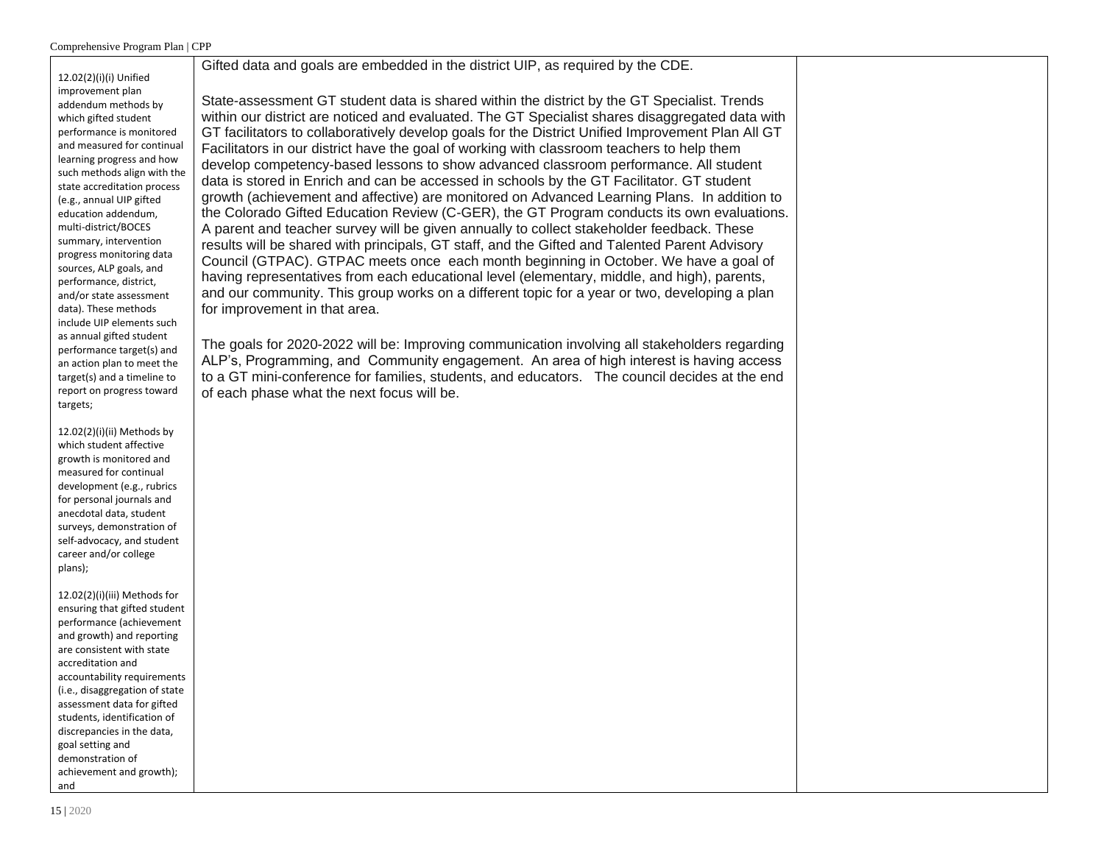12.02(2)(i)(i) Unified improvement plan addendum methods by which gifted student performance is monitored and measured for continual learning progress and how such methods align with the state accreditation process (e.g., annual UIP gifted education addendum, multi-district/BOCES summary, intervention progress monitoring data sources, ALP goals, and performance, district, and/or state assessment data). These methods include UIP elements such as annual gifted student performance target(s) and an action plan to meet the target(s) and a timeline to report on progress toward targets;

12.02(2)(i)(ii) Methods by which student affective growth is monitored and measured for continual development (e.g., rubrics for personal journals and anecdotal data, student surveys, demonstration of self-advocacy, and student career and/or college plans);

12.02(2)(i)(iii) Methods for ensuring that gifted student performance (achievement and growth) and reporting are consistent with state accreditation and accountability requirements (i.e., disaggregation of state assessment data for gifted students, identification of discrepancies in the data, goal setting and demonstration of achievement and growth); and

State-assessment GT student data is shared within the district by the GT Specialist. Trends within our district are noticed and evaluated. The GT Specialist shares disaggregated data with GT facilitators to collaboratively develop goals for the District Unified Improvement Plan All GT Facilitators in our district have the goal of working with classroom teachers to help them develop competency-based lessons to show advanced classroom performance. All student data is stored in Enrich and can be accessed in schools by the GT Facilitator. GT student growth (achievement and affective) are monitored on Advanced Learning Plans. In addition to the Colorado Gifted Education Review (C-GER), the GT Program conducts its own evaluations. A parent and teacher survey will be given annually to collect stakeholder feedback. These results will be shared with principals, GT staff, and the Gifted and Talented Parent Advisory Council (GTPAC). GTPAC meets once each month beginning in October. We have a goal of having representatives from each educational level (elementary, middle, and high), parents, and our community. This group works on a different topic for a year or two, developing a plan for improvement in that area.

Gifted data and goals are embedded in the district UIP, as required by the CDE.

The goals for 2020-2022 will be: Improving communication involving all stakeholders regarding ALP's, Programming, and Community engagement. An area of high interest is having access to a GT mini-conference for families, students, and educators. The council decides at the end of each phase what the next focus will be.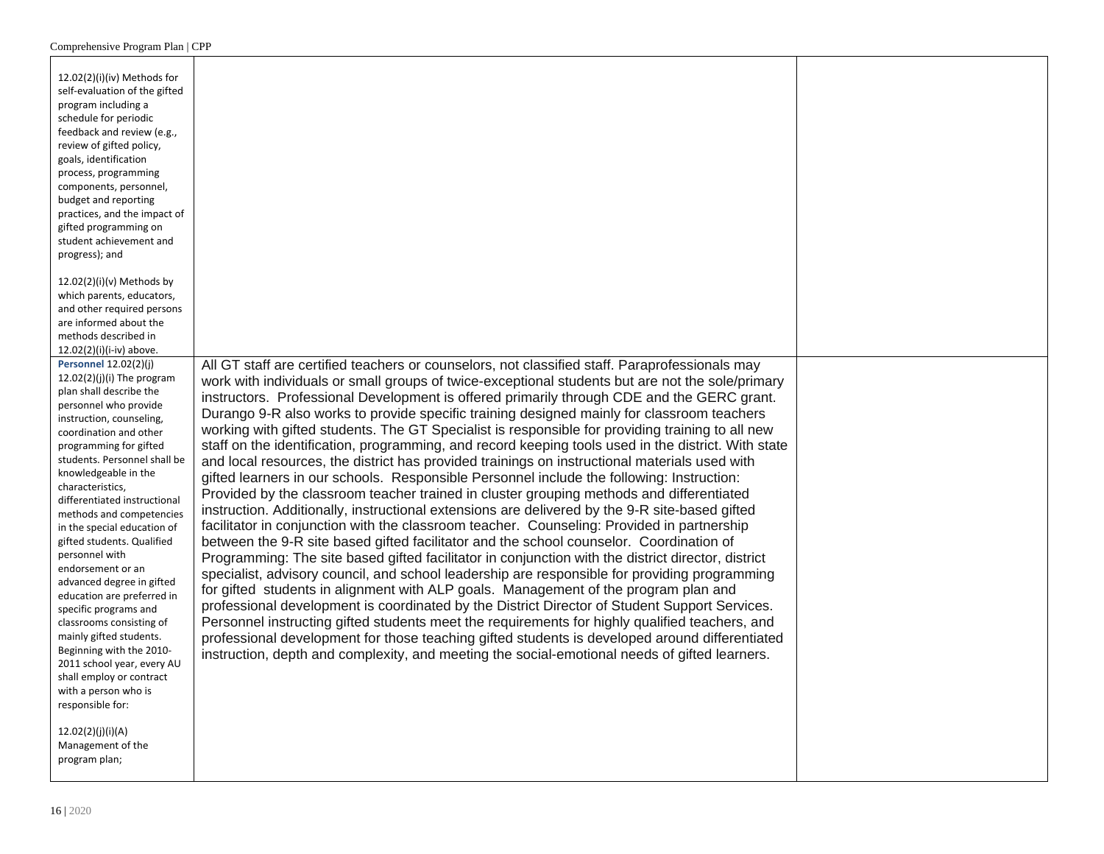| 12.02(2)(i)(iv) Methods for<br>self-evaluation of the gifted<br>program including a<br>schedule for periodic<br>feedback and review (e.g.,<br>review of gifted policy,<br>goals, identification<br>process, programming<br>components, personnel,<br>budget and reporting<br>practices, and the impact of<br>gifted programming on<br>student achievement and<br>progress); and                                                                                                                                                                                                                                                                                                                                           |                                                                                                                                                                                                                                                                                                                                                                                                                                                                                                                                                                                                                                                                                                                                                                                                                                                                                                                                                                                                                                                                                                                                                                                                                                                                                                                                                                                                                                                                                                                                                                                                                                                                                                                                                                                                                                                                                                    |  |
|---------------------------------------------------------------------------------------------------------------------------------------------------------------------------------------------------------------------------------------------------------------------------------------------------------------------------------------------------------------------------------------------------------------------------------------------------------------------------------------------------------------------------------------------------------------------------------------------------------------------------------------------------------------------------------------------------------------------------|----------------------------------------------------------------------------------------------------------------------------------------------------------------------------------------------------------------------------------------------------------------------------------------------------------------------------------------------------------------------------------------------------------------------------------------------------------------------------------------------------------------------------------------------------------------------------------------------------------------------------------------------------------------------------------------------------------------------------------------------------------------------------------------------------------------------------------------------------------------------------------------------------------------------------------------------------------------------------------------------------------------------------------------------------------------------------------------------------------------------------------------------------------------------------------------------------------------------------------------------------------------------------------------------------------------------------------------------------------------------------------------------------------------------------------------------------------------------------------------------------------------------------------------------------------------------------------------------------------------------------------------------------------------------------------------------------------------------------------------------------------------------------------------------------------------------------------------------------------------------------------------------------|--|
| $12.02(2)(i)(v)$ Methods by<br>which parents, educators,<br>and other required persons<br>are informed about the<br>methods described in<br>12.02(2)(i)(i-iv) above.                                                                                                                                                                                                                                                                                                                                                                                                                                                                                                                                                      |                                                                                                                                                                                                                                                                                                                                                                                                                                                                                                                                                                                                                                                                                                                                                                                                                                                                                                                                                                                                                                                                                                                                                                                                                                                                                                                                                                                                                                                                                                                                                                                                                                                                                                                                                                                                                                                                                                    |  |
| <b>Personnel 12.02(2)(j)</b><br>$12.02(2)(i)(i)$ The program<br>plan shall describe the<br>personnel who provide<br>instruction, counseling,<br>coordination and other<br>programming for gifted<br>students. Personnel shall be<br>knowledgeable in the<br>characteristics,<br>differentiated instructional<br>methods and competencies<br>in the special education of<br>gifted students. Qualified<br>personnel with<br>endorsement or an<br>advanced degree in gifted<br>education are preferred in<br>specific programs and<br>classrooms consisting of<br>mainly gifted students.<br>Beginning with the 2010-<br>2011 school year, every AU<br>shall employ or contract<br>with a person who is<br>responsible for: | All GT staff are certified teachers or counselors, not classified staff. Paraprofessionals may<br>work with individuals or small groups of twice-exceptional students but are not the sole/primary<br>instructors. Professional Development is offered primarily through CDE and the GERC grant.<br>Durango 9-R also works to provide specific training designed mainly for classroom teachers<br>working with gifted students. The GT Specialist is responsible for providing training to all new<br>staff on the identification, programming, and record keeping tools used in the district. With state<br>and local resources, the district has provided trainings on instructional materials used with<br>gifted learners in our schools. Responsible Personnel include the following: Instruction:<br>Provided by the classroom teacher trained in cluster grouping methods and differentiated<br>instruction. Additionally, instructional extensions are delivered by the 9-R site-based gifted<br>facilitator in conjunction with the classroom teacher. Counseling: Provided in partnership<br>between the 9-R site based gifted facilitator and the school counselor. Coordination of<br>Programming: The site based gifted facilitator in conjunction with the district director, district<br>specialist, advisory council, and school leadership are responsible for providing programming<br>for gifted students in alignment with ALP goals. Management of the program plan and<br>professional development is coordinated by the District Director of Student Support Services.<br>Personnel instructing gifted students meet the requirements for highly qualified teachers, and<br>professional development for those teaching gifted students is developed around differentiated<br>instruction, depth and complexity, and meeting the social-emotional needs of gifted learners. |  |
| 12.02(2)(j)(i)(A)<br>Management of the<br>program plan;                                                                                                                                                                                                                                                                                                                                                                                                                                                                                                                                                                                                                                                                   |                                                                                                                                                                                                                                                                                                                                                                                                                                                                                                                                                                                                                                                                                                                                                                                                                                                                                                                                                                                                                                                                                                                                                                                                                                                                                                                                                                                                                                                                                                                                                                                                                                                                                                                                                                                                                                                                                                    |  |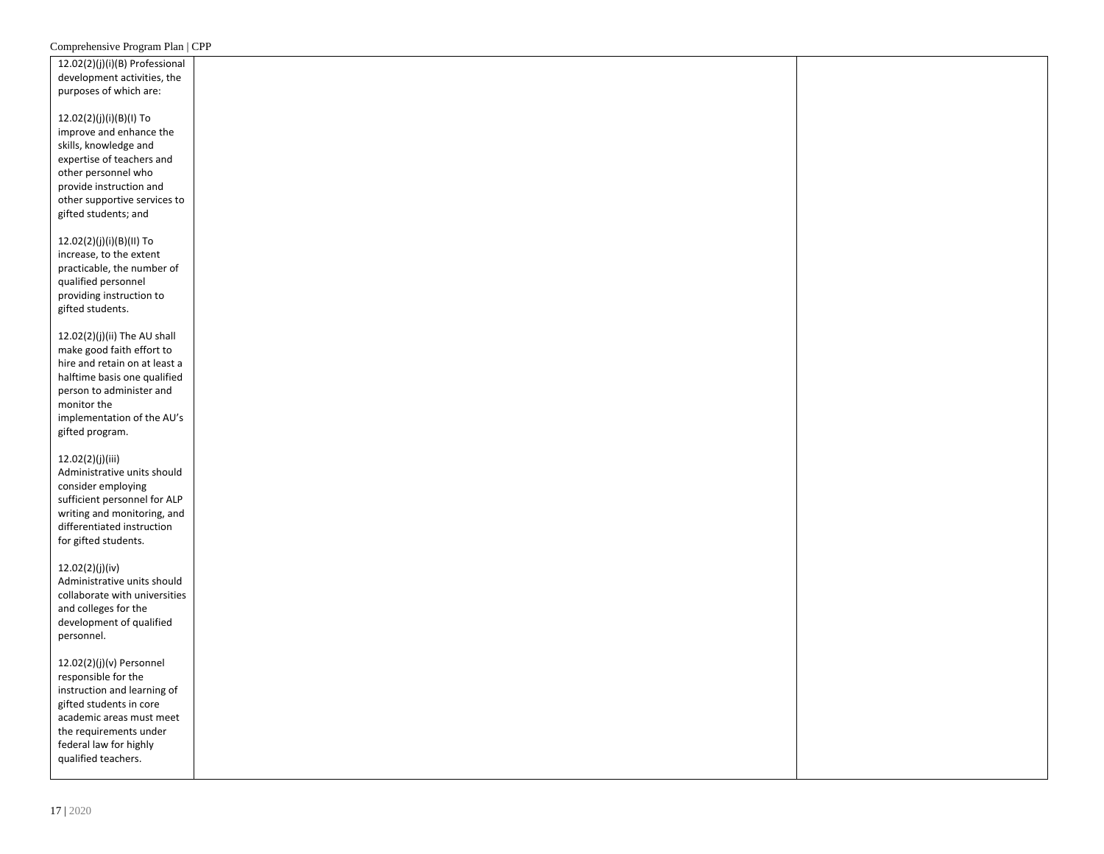| 12.02(2)(j)(i)(B) Professional |  |
|--------------------------------|--|
| development activities, the    |  |
| purposes of which are:         |  |
|                                |  |
| 12.02(2)(j)(i)(B)(I) To        |  |
| improve and enhance the        |  |
| skills, knowledge and          |  |
| expertise of teachers and      |  |
|                                |  |
| other personnel who            |  |
| provide instruction and        |  |
| other supportive services to   |  |
| gifted students; and           |  |
|                                |  |
| 12.02(2)(j)(i)(B)(II) To       |  |
| increase, to the extent        |  |
| practicable, the number of     |  |
| qualified personnel            |  |
| providing instruction to       |  |
| gifted students.               |  |
|                                |  |
| 12.02(2)(j)(ii) The AU shall   |  |
| make good faith effort to      |  |
| hire and retain on at least a  |  |
| halftime basis one qualified   |  |
| person to administer and       |  |
| monitor the                    |  |
| implementation of the AU's     |  |
| gifted program.                |  |
|                                |  |
| 12.02(2)(j)(iii)               |  |
| Administrative units should    |  |
| consider employing             |  |
| sufficient personnel for ALP   |  |
| writing and monitoring, and    |  |
| differentiated instruction     |  |
| for gifted students.           |  |
|                                |  |
| 12.02(2)(j)(iv)                |  |
| Administrative units should    |  |
| collaborate with universities  |  |
| and colleges for the           |  |
| development of qualified       |  |
|                                |  |
| personnel.                     |  |
|                                |  |
| 12.02(2)(j)(v) Personnel       |  |
| responsible for the            |  |
| instruction and learning of    |  |
| gifted students in core        |  |
| academic areas must meet       |  |
| the requirements under         |  |
| federal law for highly         |  |
| qualified teachers.            |  |
|                                |  |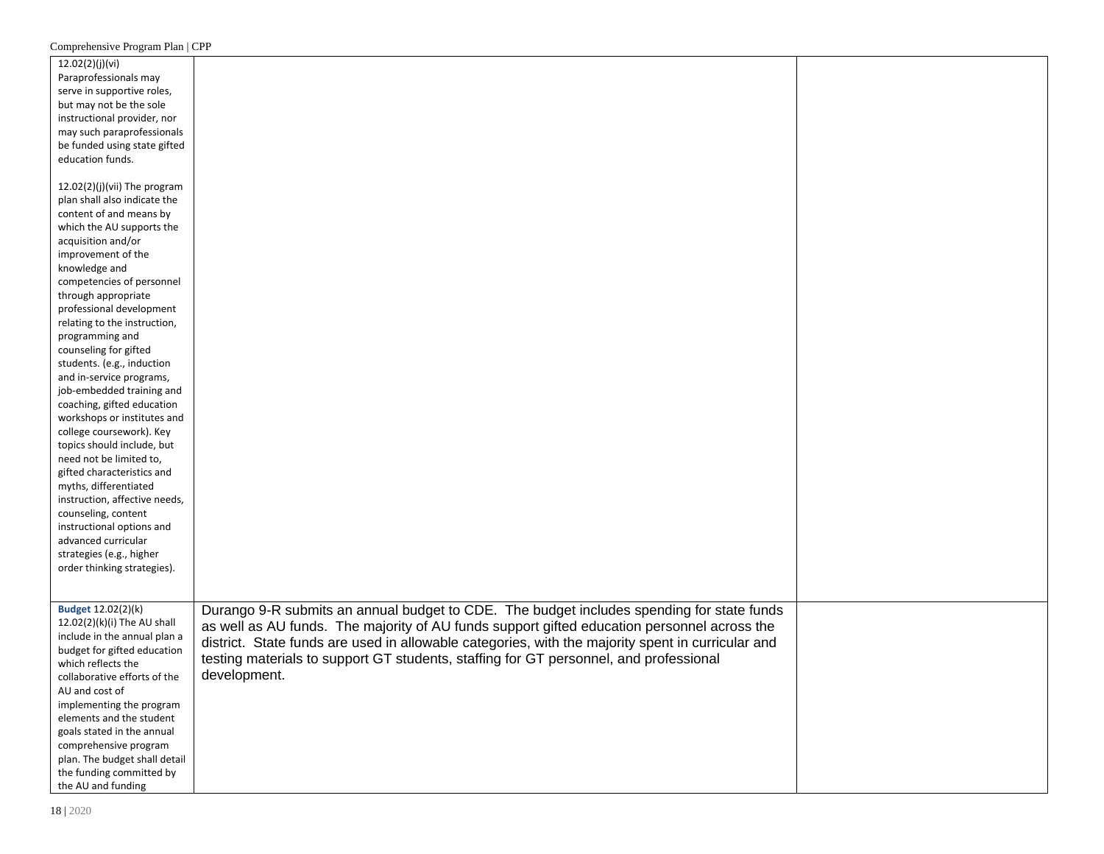| 12.02(2)(j)(vi)               |                                                                                                   |  |
|-------------------------------|---------------------------------------------------------------------------------------------------|--|
| Paraprofessionals may         |                                                                                                   |  |
| serve in supportive roles,    |                                                                                                   |  |
| but may not be the sole       |                                                                                                   |  |
| instructional provider, nor   |                                                                                                   |  |
| may such paraprofessionals    |                                                                                                   |  |
| be funded using state gifted  |                                                                                                   |  |
|                               |                                                                                                   |  |
| education funds.              |                                                                                                   |  |
|                               |                                                                                                   |  |
| 12.02(2)(j)(vii) The program  |                                                                                                   |  |
| plan shall also indicate the  |                                                                                                   |  |
| content of and means by       |                                                                                                   |  |
| which the AU supports the     |                                                                                                   |  |
| acquisition and/or            |                                                                                                   |  |
| improvement of the            |                                                                                                   |  |
| knowledge and                 |                                                                                                   |  |
| competencies of personnel     |                                                                                                   |  |
| through appropriate           |                                                                                                   |  |
| professional development      |                                                                                                   |  |
| relating to the instruction,  |                                                                                                   |  |
| programming and               |                                                                                                   |  |
| counseling for gifted         |                                                                                                   |  |
| students. (e.g., induction    |                                                                                                   |  |
| and in-service programs,      |                                                                                                   |  |
| job-embedded training and     |                                                                                                   |  |
| coaching, gifted education    |                                                                                                   |  |
| workshops or institutes and   |                                                                                                   |  |
| college coursework). Key      |                                                                                                   |  |
| topics should include, but    |                                                                                                   |  |
| need not be limited to,       |                                                                                                   |  |
| gifted characteristics and    |                                                                                                   |  |
| myths, differentiated         |                                                                                                   |  |
| instruction, affective needs, |                                                                                                   |  |
| counseling, content           |                                                                                                   |  |
| instructional options and     |                                                                                                   |  |
| advanced curricular           |                                                                                                   |  |
|                               |                                                                                                   |  |
| strategies (e.g., higher      |                                                                                                   |  |
| order thinking strategies).   |                                                                                                   |  |
|                               |                                                                                                   |  |
| Budget 12.02(2)(k)            |                                                                                                   |  |
| 12.02(2)(k)(i) The AU shall   | Durango 9-R submits an annual budget to CDE. The budget includes spending for state funds         |  |
|                               | as well as AU funds. The majority of AU funds support gifted education personnel across the       |  |
| include in the annual plan a  | district. State funds are used in allowable categories, with the majority spent in curricular and |  |
| budget for gifted education   | testing materials to support GT students, staffing for GT personnel, and professional             |  |
| which reflects the            | development.                                                                                      |  |
| collaborative efforts of the  |                                                                                                   |  |
| AU and cost of                |                                                                                                   |  |
| implementing the program      |                                                                                                   |  |
| elements and the student      |                                                                                                   |  |
| goals stated in the annual    |                                                                                                   |  |
| comprehensive program         |                                                                                                   |  |
| plan. The budget shall detail |                                                                                                   |  |
| the funding committed by      |                                                                                                   |  |
| the AU and funding            |                                                                                                   |  |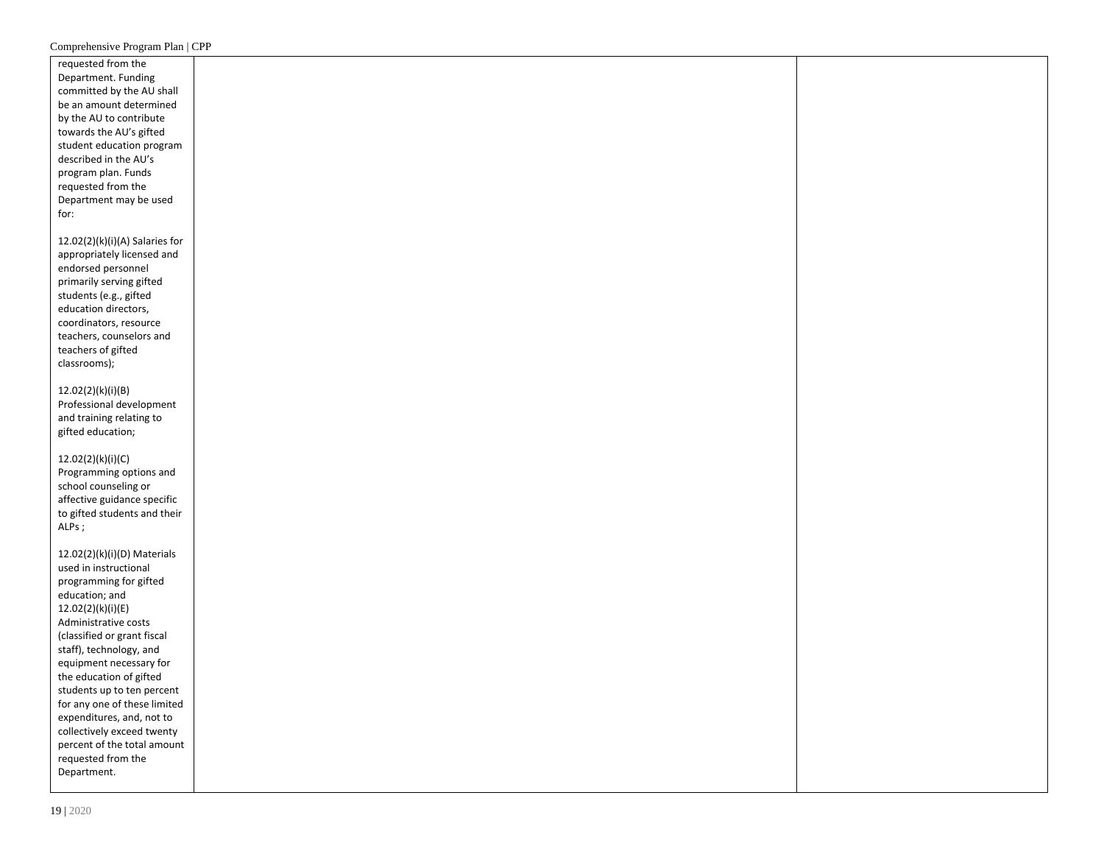| requested from the                                  |  |
|-----------------------------------------------------|--|
| Department. Funding                                 |  |
| committed by the AU shall                           |  |
| be an amount determined                             |  |
| by the AU to contribute                             |  |
| towards the AU's gifted                             |  |
|                                                     |  |
| student education program                           |  |
| described in the AU's                               |  |
| program plan. Funds                                 |  |
| requested from the                                  |  |
| Department may be used                              |  |
| for:                                                |  |
|                                                     |  |
| 12.02(2)(k)(i)(A) Salaries for                      |  |
| appropriately licensed and                          |  |
| endorsed personnel                                  |  |
| primarily serving gifted                            |  |
| students (e.g., gifted                              |  |
| education directors,                                |  |
| coordinators, resource                              |  |
| teachers, counselors and                            |  |
| teachers of gifted                                  |  |
| classrooms);                                        |  |
|                                                     |  |
| 12.02(2)(k)(i)(B)                                   |  |
| Professional development                            |  |
| and training relating to                            |  |
| gifted education;                                   |  |
|                                                     |  |
| 12.02(2)(k)(i)(C)                                   |  |
| Programming options and                             |  |
| school counseling or                                |  |
| affective guidance specific                         |  |
| to gifted students and their                        |  |
| ALPs;                                               |  |
|                                                     |  |
| 12.02(2)(k)(i)(D) Materials                         |  |
| used in instructional                               |  |
| programming for gifted                              |  |
| education; and                                      |  |
| 12.02(2)(k)(i)(E)                                   |  |
|                                                     |  |
| Administrative costs<br>(classified or grant fiscal |  |
| staff), technology, and                             |  |
|                                                     |  |
| equipment necessary for                             |  |
| the education of gifted                             |  |
| students up to ten percent                          |  |
| for any one of these limited                        |  |
| expenditures, and, not to                           |  |
| collectively exceed twenty                          |  |
| percent of the total amount                         |  |
| requested from the                                  |  |
| Department.                                         |  |
|                                                     |  |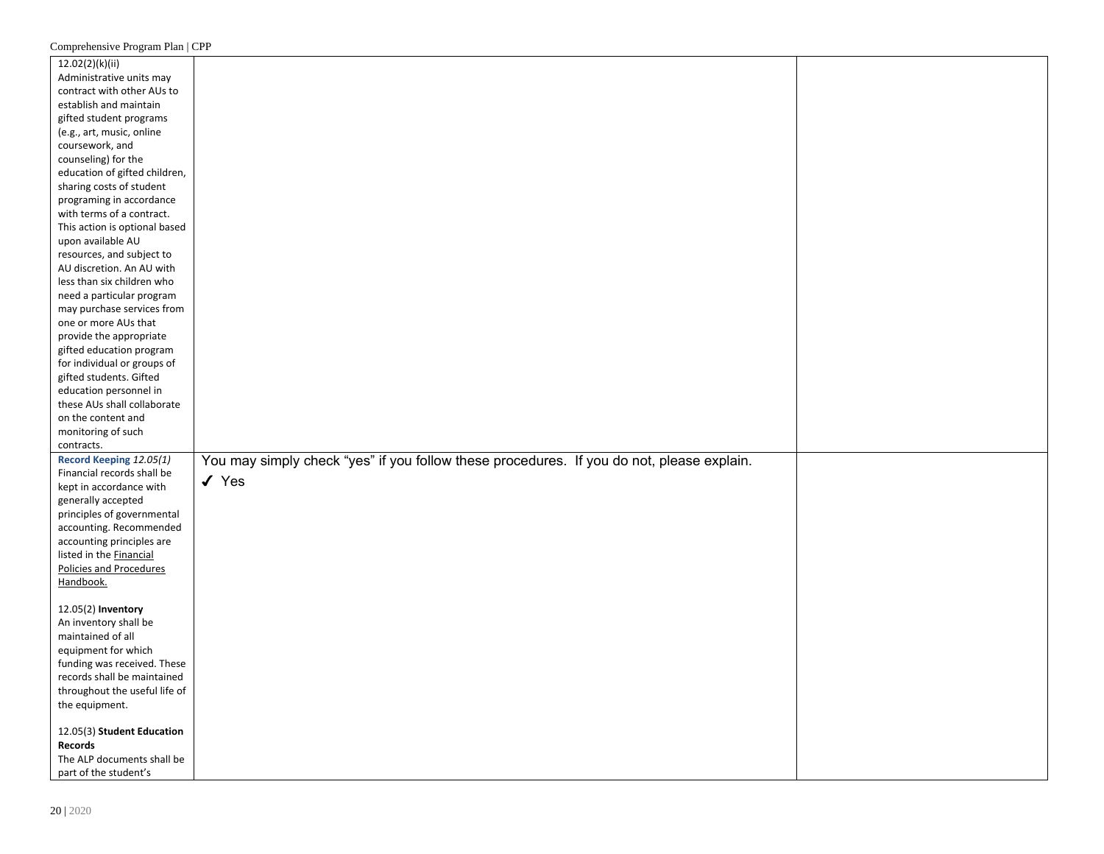| 12.02(2)(k)(ii)               |                                                                                           |  |
|-------------------------------|-------------------------------------------------------------------------------------------|--|
| Administrative units may      |                                                                                           |  |
| contract with other AUs to    |                                                                                           |  |
| establish and maintain        |                                                                                           |  |
| gifted student programs       |                                                                                           |  |
| (e.g., art, music, online     |                                                                                           |  |
| coursework, and               |                                                                                           |  |
| counseling) for the           |                                                                                           |  |
| education of gifted children, |                                                                                           |  |
| sharing costs of student      |                                                                                           |  |
| programing in accordance      |                                                                                           |  |
| with terms of a contract.     |                                                                                           |  |
| This action is optional based |                                                                                           |  |
| upon available AU             |                                                                                           |  |
| resources, and subject to     |                                                                                           |  |
| AU discretion. An AU with     |                                                                                           |  |
| less than six children who    |                                                                                           |  |
| need a particular program     |                                                                                           |  |
| may purchase services from    |                                                                                           |  |
| one or more AUs that          |                                                                                           |  |
| provide the appropriate       |                                                                                           |  |
| gifted education program      |                                                                                           |  |
| for individual or groups of   |                                                                                           |  |
| gifted students. Gifted       |                                                                                           |  |
| education personnel in        |                                                                                           |  |
| these AUs shall collaborate   |                                                                                           |  |
| on the content and            |                                                                                           |  |
| monitoring of such            |                                                                                           |  |
| contracts.                    |                                                                                           |  |
| Record Keeping 12.05(1)       | You may simply check "yes" if you follow these procedures. If you do not, please explain. |  |
| Financial records shall be    |                                                                                           |  |
| kept in accordance with       | $\checkmark$ Yes                                                                          |  |
| generally accepted            |                                                                                           |  |
| principles of governmental    |                                                                                           |  |
| accounting. Recommended       |                                                                                           |  |
| accounting principles are     |                                                                                           |  |
| listed in the Financial       |                                                                                           |  |
| Policies and Procedures       |                                                                                           |  |
| Handbook.                     |                                                                                           |  |
|                               |                                                                                           |  |
| 12.05(2) Inventory            |                                                                                           |  |
| An inventory shall be         |                                                                                           |  |
| maintained of all             |                                                                                           |  |
| equipment for which           |                                                                                           |  |
| funding was received. These   |                                                                                           |  |
| records shall be maintained   |                                                                                           |  |
| throughout the useful life of |                                                                                           |  |
| the equipment.                |                                                                                           |  |
|                               |                                                                                           |  |
| 12.05(3) Student Education    |                                                                                           |  |
| <b>Records</b>                |                                                                                           |  |
| The ALP documents shall be    |                                                                                           |  |
| part of the student's         |                                                                                           |  |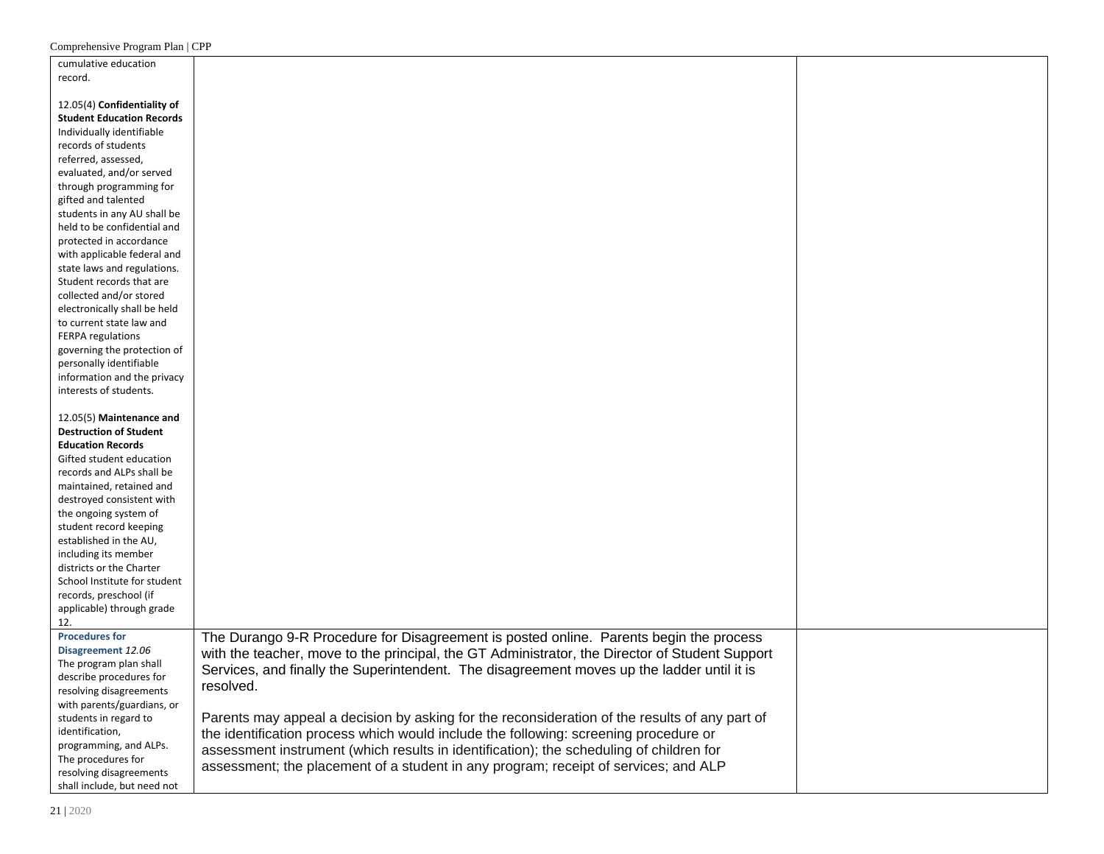| cumulative education             |                                                                                                |  |
|----------------------------------|------------------------------------------------------------------------------------------------|--|
| record.                          |                                                                                                |  |
|                                  |                                                                                                |  |
| 12.05(4) Confidentiality of      |                                                                                                |  |
| <b>Student Education Records</b> |                                                                                                |  |
| Individually identifiable        |                                                                                                |  |
| records of students              |                                                                                                |  |
| referred, assessed,              |                                                                                                |  |
| evaluated, and/or served         |                                                                                                |  |
|                                  |                                                                                                |  |
| through programming for          |                                                                                                |  |
| gifted and talented              |                                                                                                |  |
| students in any AU shall be      |                                                                                                |  |
| held to be confidential and      |                                                                                                |  |
| protected in accordance          |                                                                                                |  |
| with applicable federal and      |                                                                                                |  |
| state laws and regulations.      |                                                                                                |  |
| Student records that are         |                                                                                                |  |
| collected and/or stored          |                                                                                                |  |
| electronically shall be held     |                                                                                                |  |
| to current state law and         |                                                                                                |  |
| FERPA regulations                |                                                                                                |  |
| governing the protection of      |                                                                                                |  |
| personally identifiable          |                                                                                                |  |
| information and the privacy      |                                                                                                |  |
| interests of students.           |                                                                                                |  |
|                                  |                                                                                                |  |
| 12.05(5) Maintenance and         |                                                                                                |  |
| <b>Destruction of Student</b>    |                                                                                                |  |
| <b>Education Records</b>         |                                                                                                |  |
| Gifted student education         |                                                                                                |  |
|                                  |                                                                                                |  |
| records and ALPs shall be        |                                                                                                |  |
| maintained, retained and         |                                                                                                |  |
| destroyed consistent with        |                                                                                                |  |
| the ongoing system of            |                                                                                                |  |
| student record keeping           |                                                                                                |  |
| established in the AU,           |                                                                                                |  |
| including its member             |                                                                                                |  |
| districts or the Charter         |                                                                                                |  |
| School Institute for student     |                                                                                                |  |
| records, preschool (if           |                                                                                                |  |
| applicable) through grade        |                                                                                                |  |
| 12.                              |                                                                                                |  |
| <b>Procedures for</b>            | The Durango 9-R Procedure for Disagreement is posted online. Parents begin the process         |  |
| Disagreement 12.06               | with the teacher, move to the principal, the GT Administrator, the Director of Student Support |  |
| The program plan shall           |                                                                                                |  |
| describe procedures for          | Services, and finally the Superintendent. The disagreement moves up the ladder until it is     |  |
| resolving disagreements          | resolved.                                                                                      |  |
| with parents/guardians, or       |                                                                                                |  |
| students in regard to            | Parents may appeal a decision by asking for the reconsideration of the results of any part of  |  |
| identification,                  |                                                                                                |  |
| programming, and ALPs.           | the identification process which would include the following: screening procedure or           |  |
|                                  | assessment instrument (which results in identification); the scheduling of children for        |  |
| The procedures for               | assessment; the placement of a student in any program; receipt of services; and ALP            |  |
| resolving disagreements          |                                                                                                |  |
| shall include, but need not      |                                                                                                |  |